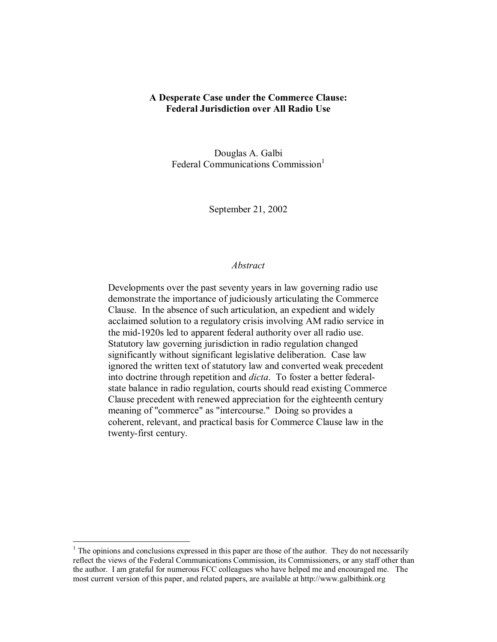#### **A Desperate Case under the Commerce Clause: Federal Jurisdiction over All Radio Use**

Douglas A. Galbi Federal Communications Commission<sup>1</sup>

September 21, 2002

#### *Abstract*

Developments over the past seventy years in law governing radio use demonstrate the importance of judiciously articulating the Commerce Clause. In the absence of such articulation, an expedient and widely acclaimed solution to a regulatory crisis involving AM radio service in the mid-1920s led to apparent federal authority over all radio use. Statutory law governing jurisdiction in radio regulation changed significantly without significant legislative deliberation. Case law ignored the written text of statutory law and converted weak precedent into doctrine through repetition and *dicta*. To foster a better federalstate balance in radio regulation, courts should read existing Commerce Clause precedent with renewed appreciation for the eighteenth century meaning of "commerce" as "intercourse." Doing so provides a coherent, relevant, and practical basis for Commerce Clause law in the twenty-first century.

<sup>&</sup>lt;sup>1</sup> The opinions and conclusions expressed in this paper are those of the author. They do not necessarily reflect the views of the Federal Communications Commission, its Commissioners, or any staff other than the author. I am grateful for numerous FCC colleagues who have helped me and encouraged me. The most current version of this paper, and related papers, are available at http://www.galbithink.org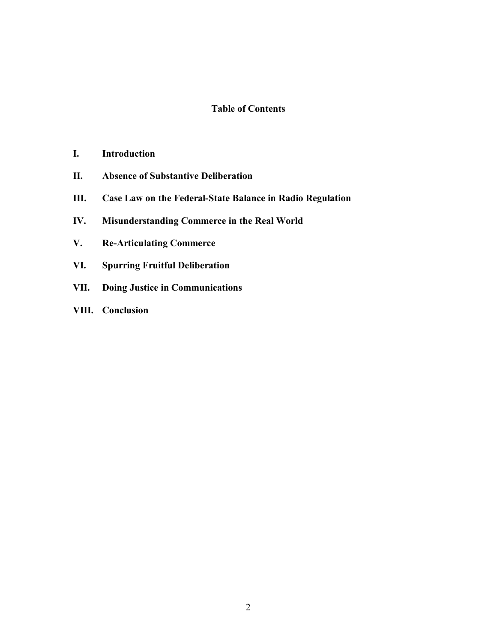## **Table of Contents**

- **I. Introduction**
- **II. Absence of Substantive Deliberation**
- **III. Case Law on the Federal-State Balance in Radio Regulation**
- **IV. Misunderstanding Commerce in the Real World**
- **V. Re-Articulating Commerce**
- **VI. Spurring Fruitful Deliberation**
- **VII. Doing Justice in Communications**
- **VIII. Conclusion**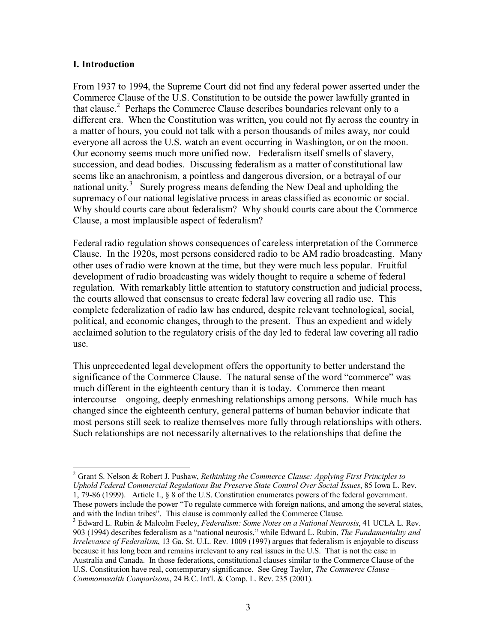### **I. Introduction**

From 1937 to 1994, the Supreme Court did not find any federal power asserted under the Commerce Clause of the U.S. Constitution to be outside the power lawfully granted in that clause.<sup>2</sup> Perhaps the Commerce Clause describes boundaries relevant only to a different era. When the Constitution was written, you could not fly across the country in a matter of hours, you could not talk with a person thousands of miles away, nor could everyone all across the U.S. watch an event occurring in Washington, or on the moon. Our economy seems much more unified now. Federalism itself smells of slavery, succession, and dead bodies. Discussing federalism as a matter of constitutional law seems like an anachronism, a pointless and dangerous diversion, or a betrayal of our national unity.<sup>3</sup> Surely progress means defending the New Deal and upholding the supremacy of our national legislative process in areas classified as economic or social. Why should courts care about federalism? Why should courts care about the Commerce Clause, a most implausible aspect of federalism?

Federal radio regulation shows consequences of careless interpretation of the Commerce Clause. In the 1920s, most persons considered radio to be AM radio broadcasting. Many other uses of radio were known at the time, but they were much less popular. Fruitful development of radio broadcasting was widely thought to require a scheme of federal regulation. With remarkably little attention to statutory construction and judicial process, the courts allowed that consensus to create federal law covering all radio use. This complete federalization of radio law has endured, despite relevant technological, social, political, and economic changes, through to the present. Thus an expedient and widely acclaimed solution to the regulatory crisis of the day led to federal law covering all radio use.

This unprecedented legal development offers the opportunity to better understand the significance of the Commerce Clause. The natural sense of the word "commerce" was much different in the eighteenth century than it is today. Commerce then meant intercourse – ongoing, deeply enmeshing relationships among persons. While much has changed since the eighteenth century, general patterns of human behavior indicate that most persons still seek to realize themselves more fully through relationships with others. Such relationships are not necessarily alternatives to the relationships that define the

<sup>1</sup> 2 Grant S. Nelson & Robert J. Pushaw, *Rethinking the Commerce Clause: Applying First Principles to Uphold Federal Commercial Regulations But Preserve State Control Over Social Issues*, 85 Iowa L. Rev. 1, 79-86 (1999). Article I., § 8 of the U.S. Constitution enumerates powers of the federal government. These powers include the power "To regulate commerce with foreign nations, and among the several states, and with the Indian tribes". This clause is commonly called the Commerce Clause.

<sup>3</sup> Edward L. Rubin & Malcolm Feeley, *Federalism: Some Notes on a National Neurosis*, 41 UCLA L. Rev. 903 (1994) describes federalism as a "national neurosis," while Edward L. Rubin, *The Fundamentality and Irrelevance of Federalism*, 13 Ga. St. U.L. Rev. 1009 (1997) argues that federalism is enjoyable to discuss because it has long been and remains irrelevant to any real issues in the U.S. That is not the case in Australia and Canada. In those federations, constitutional clauses similar to the Commerce Clause of the U.S. Constitution have real, contemporary significance. See Greg Taylor, *The Commerce Clause – Commonwealth Comparisons*, 24 B.C. Int'l. & Comp. L. Rev. 235 (2001).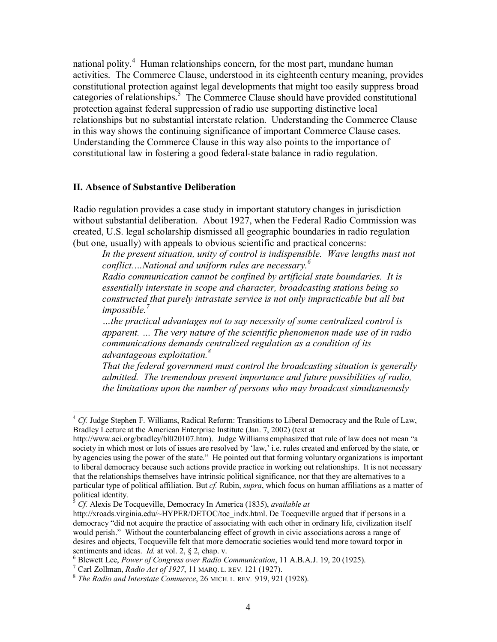national polity.<sup>4</sup> Human relationships concern, for the most part, mundane human activities. The Commerce Clause, understood in its eighteenth century meaning, provides constitutional protection against legal developments that might too easily suppress broad categories of relationships.<sup>5</sup> The Commerce Clause should have provided constitutional protection against federal suppression of radio use supporting distinctive local relationships but no substantial interstate relation. Understanding the Commerce Clause in this way shows the continuing significance of important Commerce Clause cases. Understanding the Commerce Clause in this way also points to the importance of constitutional law in fostering a good federal-state balance in radio regulation.

#### **II. Absence of Substantive Deliberation**

<u>.</u>

Radio regulation provides a case study in important statutory changes in jurisdiction without substantial deliberation. About 1927, when the Federal Radio Commission was created, U.S. legal scholarship dismissed all geographic boundaries in radio regulation (but one, usually) with appeals to obvious scientific and practical concerns:

In the present situation, unity of control is indispensible. Wave lengths must not *conflict.…National and uniform rules are necessary.<sup>6</sup>*

*Radio communication cannot be confined by artificial state boundaries. It is essentially interstate in scope and character, broadcasting stations being so constructed that purely intrastate service is not only impracticable but all but impossible.<sup>7</sup>*

*…the practical advantages not to say necessity of some centralized control is apparent. … The very nature of the scientific phenomenon made use of in radio communications demands centralized regulation as a condition of its advantageous exploitation.8*

*That the federal government must control the broadcasting situation is generally admitted. The tremendous present importance and future possibilities of radio, the limitations upon the number of persons who may broadcast simultaneously* 

<sup>&</sup>lt;sup>4</sup> Cf. Judge Stephen F. Williams, Radical Reform: Transitions to Liberal Democracy and the Rule of Law, Bradley Lecture at the American Enterprise Institute (Jan. 7, 2002) (text at

http://www.aei.org/bradley/bl020107.htm). Judge Williams emphasized that rule of law does not mean "a society in which most or lots of issues are resolved by 'law,' i.e. rules created and enforced by the state, or by agencies using the power of the state." He pointed out that forming voluntary organizations is important to liberal democracy because such actions provide practice in working out relationships. It is not necessary that the relationships themselves have intrinsic political significance, nor that they are alternatives to a particular type of political affiliation. But *cf.* Rubin, *supra*, which focus on human affiliations as a matter of political identity.

<sup>5</sup> *Cf.* Alexis De Tocqueville, Democracy In America (1835), *available at*

http://xroads.virginia.edu/~HYPER/DETOC/toc\_indx.html. De Tocqueville argued that if persons in a democracy "did not acquire the practice of associating with each other in ordinary life, civilization itself would perish." Without the counterbalancing effect of growth in civic associations across a range of desires and objects, Tocqueville felt that more democratic societies would tend more toward torpor in sentiments and ideas. *Id.* at vol. 2,  $\S$  2, chap. v.

<sup>&</sup>lt;sup>6</sup> Blewett Lee, *Power of Congress over Radio Communication*, 11 A.B.A.J. 19, 20 (1925).<br><sup>7</sup> Carl Zollman, *Radio Act of 1927*, 11 MARQ. L. REV. 121 (1927).

<sup>&</sup>lt;sup>8</sup> The Radio and Interstate Commerce, 26 MICH. L. REV. 919, 921 (1928).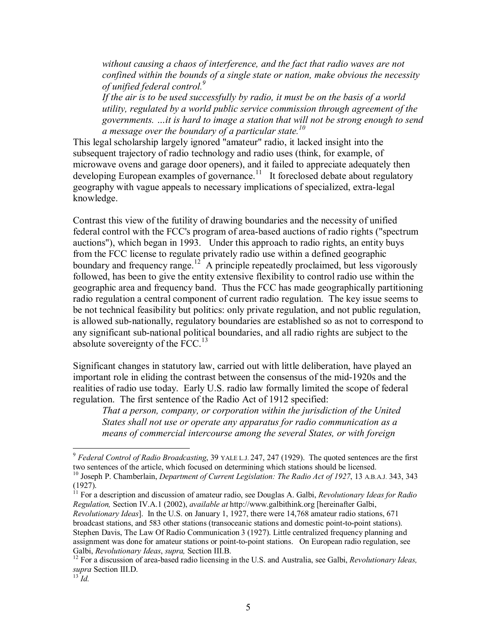*without causing a chaos of interference, and the fact that radio waves are not confined within the bounds of a single state or nation, make obvious the necessity of unified federal control.9*

*If the air is to be used successfully by radio, it must be on the basis of a world utility, regulated by a world public service commission through agreement of the governments. …it is hard to image a station that will not be strong enough to send a message over the boundary of a particular state.10*

This legal scholarship largely ignored "amateur" radio, it lacked insight into the subsequent trajectory of radio technology and radio uses (think, for example, of microwave ovens and garage door openers), and it failed to appreciate adequately then developing European examples of governance.<sup>11</sup> It foreclosed debate about regulatory geography with vague appeals to necessary implications of specialized, extra-legal knowledge.

Contrast this view of the futility of drawing boundaries and the necessity of unified federal control with the FCC's program of area-based auctions of radio rights ("spectrum auctions"), which began in 1993. Under this approach to radio rights, an entity buys from the FCC license to regulate privately radio use within a defined geographic boundary and frequency range.<sup>12</sup> A principle repeatedly proclaimed, but less vigorously followed, has been to give the entity extensive flexibility to control radio use within the geographic area and frequency band. Thus the FCC has made geographically partitioning radio regulation a central component of current radio regulation. The key issue seems to be not technical feasibility but politics: only private regulation, and not public regulation, is allowed sub-nationally, regulatory boundaries are established so as not to correspond to any significant sub-national political boundaries, and all radio rights are subject to the absolute sovereignty of the  $FCC$ <sup>13</sup>

Significant changes in statutory law, carried out with little deliberation, have played an important role in eliding the contrast between the consensus of the mid-1920s and the realities of radio use today. Early U.S. radio law formally limited the scope of federal regulation. The first sentence of the Radio Act of 1912 specified:

*That a person, company, or corporation within the jurisdiction of the United States shall not use or operate any apparatus for radio communication as a means of commercial intercourse among the several States, or with foreign* 

<sup>11</sup> For a description and discussion of amateur radio, see Douglas A. Galbi, *Revolutionary Ideas for Radio Regulation,* Section IV.A.1 (2002), *available at* http://www.galbithink.org [hereinafter Galbi, *Revolutionary Ideas*]. In the U.S. on January 1, 1927, there were 14,768 amateur radio stations, 671 broadcast stations, and 583 other stations (transoceanic stations and domestic point-to-point stations). Stephen Davis, The Law Of Radio Communication 3 (1927). Little centralized frequency planning and assignment was done for amateur stations or point-to-point stations. On European radio regulation, see Galbi, *Revolutionary Ideas*, *supra*, Section III.B.<br><sup>12</sup> For a discussion of area-based radio licensing in the U.S. and Australia, see Galbi, *Revolutionary Ideas*,

<sup>9</sup> *Federal Control of Radio Broadcasting*, 39 YALE L.J. 247, 247 (1929). The quoted sentences are the first two sentences of the article, which focused on determining which stations should be licensed. 10 Joseph P. Chamberlain, *Department of Current Legislation: The Radio Act of 1927*, 13 A.B.A.J. 343, 343

<sup>(1927).</sup> 

*supra* Section III.D. 13 *Id.*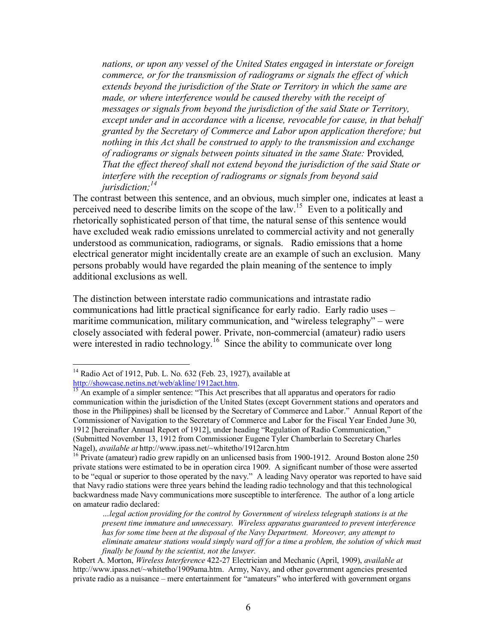*nations, or upon any vessel of the United States engaged in interstate or foreign commerce, or for the transmission of radiograms or signals the effect of which extends beyond the jurisdiction of the State or Territory in which the same are*  made, or where interference would be caused thereby with the receipt of *messages or signals from beyond the jurisdiction of the said State or Territory, except under and in accordance with a license, revocable for cause, in that behalf granted by the Secretary of Commerce and Labor upon application therefore; but nothing in this Act shall be construed to apply to the transmission and exchange of radiograms or signals between points situated in the same State:* Provided*, That the effect thereof shall not extend beyond the jurisdiction of the said State or interfere with the reception of radiograms or signals from beyond said jurisdiction;<sup>14</sup>*

The contrast between this sentence, and an obvious, much simpler one, indicates at least a perceived need to describe limits on the scope of the law.<sup>15</sup> Even to a politically and rhetorically sophisticated person of that time, the natural sense of this sentence would have excluded weak radio emissions unrelated to commercial activity and not generally understood as communication, radiograms, or signals. Radio emissions that a home electrical generator might incidentally create are an example of such an exclusion. Many persons probably would have regarded the plain meaning of the sentence to imply additional exclusions as well.

The distinction between interstate radio communications and intrastate radio communications had little practical significance for early radio. Early radio uses – maritime communication, military communication, and "wireless telegraphy" – were closely associated with federal power. Private, non-commercial (amateur) radio users were interested in radio technology.<sup>16</sup> Since the ability to communicate over long

<u>.</u>

 $14$  Radio Act of 1912, Pub. L. No. 632 (Feb. 23, 1927), available at

http://showcase.netins.net/web/akline/1912act.htm.<br><sup>15</sup> An example of a simpler sentence: "This Act prescribes that all apparatus and operators for radio communication within the jurisdiction of the United States (except Government stations and operators and those in the Philippines) shall be licensed by the Secretary of Commerce and Labor." Annual Report of the Commissioner of Navigation to the Secretary of Commerce and Labor for the Fiscal Year Ended June 30, 1912 [hereinafter Annual Report of 1912], under heading "Regulation of Radio Communication," (Submitted November 13, 1912 from Commissioner Eugene Tyler Chamberlain to Secretary Charles Nagel), *available at* http://www.ipass.net/~whitetho/1912arcn.htm<br><sup>16</sup> Private (amateur) radio grew rapidly on an unlicensed basis from 1900-1912. Around Boston alone 250

private stations were estimated to be in operation circa 1909. A significant number of those were asserted to be "equal or superior to those operated by the navy." A leading Navy operator was reported to have said that Navy radio stations were three years behind the leading radio technology and that this technological backwardness made Navy communications more susceptible to interference. The author of a long article on amateur radio declared:

*<sup>…</sup>legal action providing for the control by Government of wireless telegraph stations is at the present time immature and unnecessary. Wireless apparatus guaranteed to prevent interference has for some time been at the disposal of the Navy Department. Moreover, any attempt to eliminate amateur stations would simply ward off for a time a problem, the solution of which must finally be found by the scientist, not the lawyer.* 

Robert A. Morton, *Wireless Interference* 422-27 Electrician and Mechanic (April, 1909), *available at* http://www.ipass.net/~whitetho/1909ama.htm. Army, Navy, and other government agencies presented private radio as a nuisance – mere entertainment for "amateurs" who interfered with government organs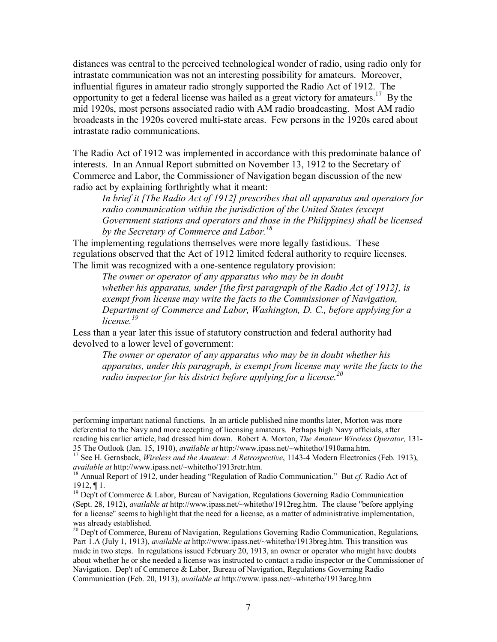distances was central to the perceived technological wonder of radio, using radio only for intrastate communication was not an interesting possibility for amateurs. Moreover, influential figures in amateur radio strongly supported the Radio Act of 1912. The opportunity to get a federal license was hailed as a great victory for amateurs.<sup>17</sup> By the mid 1920s, most persons associated radio with AM radio broadcasting. Most AM radio broadcasts in the 1920s covered multi-state areas. Few persons in the 1920s cared about intrastate radio communications.

The Radio Act of 1912 was implemented in accordance with this predominate balance of interests. In an Annual Report submitted on November 13, 1912 to the Secretary of Commerce and Labor, the Commissioner of Navigation began discussion of the new radio act by explaining forthrightly what it meant:

*In brief it [The Radio Act of 1912] prescribes that all apparatus and operators for radio communication within the jurisdiction of the United States (except Government stations and operators and those in the Philippines) shall be licensed by the Secretary of Commerce and Labor.18*

The implementing regulations themselves were more legally fastidious. These regulations observed that the Act of 1912 limited federal authority to require licenses. The limit was recognized with a one-sentence regulatory provision:

*The owner or operator of any apparatus who may be in doubt whether his apparatus, under [the first paragraph of the Radio Act of 1912], is exempt from license may write the facts to the Commissioner of Navigation, Department of Commerce and Labor, Washington, D. C., before applying for a license.<sup>19</sup>*

Less than a year later this issue of statutory construction and federal authority had devolved to a lower level of government:

*The owner or operator of any apparatus who may be in doubt whether his apparatus, under this paragraph, is exempt from license may write the facts to the radio inspector for his district before applying for a license.<sup>20</sup>*

performing important national functions. In an article published nine months later, Morton was more deferential to the Navy and more accepting of licensing amateurs. Perhaps high Navy officials, after reading his earlier article, had dressed him down. Robert A. Morton, *The Amateur Wireless Operator,* 131-

<sup>35</sup> The Outlook (Jan. 15, 1910), *available at* http://www.ipass.net/~whitetho/1910ama.htm.<br><sup>17</sup> See H. Gernsback, *Wireless and the Amateur: A Retrospective*, 1143-4 Modern Electronics (Feb. 1913), *available at* http://ww

<sup>&</sup>lt;sup>18</sup> Annual Report of 1912, under heading "Regulation of Radio Communication." But *cf.* Radio Act of 1912, ¶ 1.

<sup>&</sup>lt;sup>19</sup> Dep't of Commerce & Labor, Bureau of Navigation, Regulations Governing Radio Communication (Sept. 28, 1912), *available at* http://www.ipass.net/~whitetho/1912reg.htm. The clause "before applying for a license" seems to highlight that the need for a license, as a matter of administrative implementation, was already established.

<sup>&</sup>lt;sup>20</sup> Dep't of Commerce, Bureau of Navigation, Regulations Governing Radio Communication, Regulations, Part 1.A (July 1, 1913), *available at* http://www.ipass.net/~whitetho/1913breg.htm. This transition was made in two steps. In regulations issued February 20, 1913, an owner or operator who might have doubts about whether he or she needed a license was instructed to contact a radio inspector or the Commissioner of Navigation. Dep't of Commerce & Labor, Bureau of Navigation, Regulations Governing Radio Communication (Feb. 20, 1913), *available at* http://www.ipass.net/~whitetho/1913areg.htm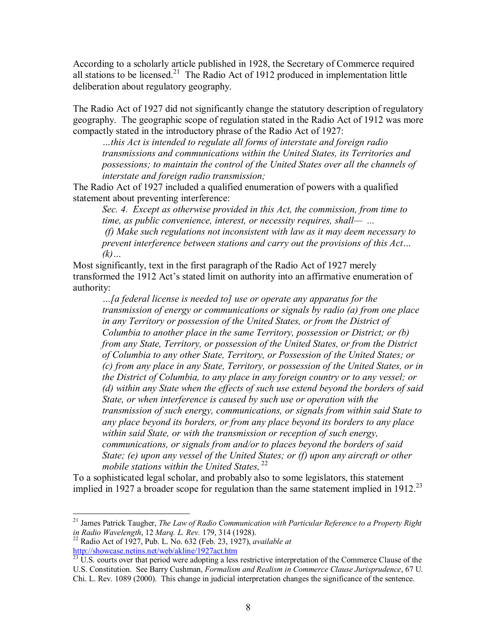According to a scholarly article published in 1928, the Secretary of Commerce required all stations to be licensed.<sup>21</sup> The Radio Act of 1912 produced in implementation little deliberation about regulatory geography.

The Radio Act of 1927 did not significantly change the statutory description of regulatory geography. The geographic scope of regulation stated in the Radio Act of 1912 was more compactly stated in the introductory phrase of the Radio Act of 1927:

*…this Act is intended to regulate all forms of interstate and foreign radio transmissions and communications within the United States, its Territories and possessions; to maintain the control of the United States over all the channels of interstate and foreign radio transmission;* 

The Radio Act of 1927 included a qualified enumeration of powers with a qualified statement about preventing interference:

*Sec. 4. Except as otherwise provided in this Act, the commission, from time to time, as public convenience, interest, or necessity requires, shall— ... (f) Make such regulations not inconsistent with law as it may deem necessary to* 

*prevent interference between stations and carry out the provisions of this Act… (k)…* 

Most significantly, text in the first paragraph of the Radio Act of 1927 merely transformed the 1912 Act's stated limit on authority into an affirmative enumeration of authority:

*…[a federal license is needed to] use or operate any apparatus for the transmission of energy or communications or signals by radio (a) from one place in any Territory or possession of the United States, or from the District of Columbia to another place in the same Territory, possession or District; or (b) from any State, Territory, or possession of the United States, or from the District of Columbia to any other State, Territory, or Possession of the United States; or (c) from any place in any State, Territory, or possession of the United States, or in the District of Columbia, to any place in any foreign country or to any vessel; or (d) within any State when the effects of such use extend beyond the borders of said State, or when interference is caused by such use or operation with the transmission of such energy, communications, or signals from within said State to any place beyond its borders, or from any place beyond its borders to any place within said State, or with the transmission or reception of such energy, communications, or signals from and/or to places beyond the borders of said State; (e) upon any vessel of the United States; or (f) upon any aircraft or other mobile stations within the United States*, <sup>22</sup>

To a sophisticated legal scholar, and probably also to some legislators, this statement implied in 1927 a broader scope for regulation than the same statement implied in 1912.<sup>23</sup>

1

<sup>&</sup>lt;sup>21</sup> James Patrick Taugher, *The Law of Radio Communication with Particular Reference to a Property Right in Radio Wavelength*, 12 *Marg. L. Rev.* 179, 314 (1928).

<sup>&</sup>lt;sup>22</sup> Radio Act of 1927, Pub. L. No. 632 (Feb. 23, 1927), *available at* http://showcase.netins.net/web/akline/1927act.htm

 $\frac{23}{23}$  U.S. courts over that period were adopting a less restrictive interpretation of the Commerce Clause of the U.S. Constitution. See Barry Cushman, *Formalism and Realism in Commerce Clause Jurisprudence*, 67 U. Chi. L. Rev. 1089 (2000). This change in judicial interpretation changes the significance of the sentence.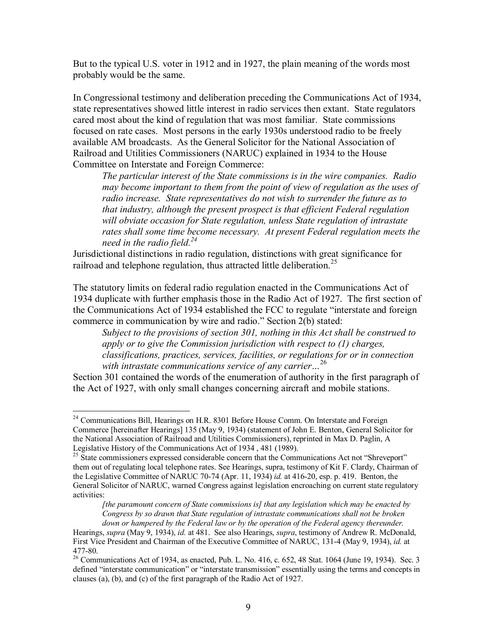But to the typical U.S. voter in 1912 and in 1927, the plain meaning of the words most probably would be the same.

In Congressional testimony and deliberation preceding the Communications Act of 1934, state representatives showed little interest in radio services then extant. State regulators cared most about the kind of regulation that was most familiar. State commissions focused on rate cases. Most persons in the early 1930s understood radio to be freely available AM broadcasts. As the General Solicitor for the National Association of Railroad and Utilities Commissioners (NARUC) explained in 1934 to the House Committee on Interstate and Foreign Commerce:

*The particular interest of the State commissions is in the wire companies. Radio may become important to them from the point of view of regulation as the uses of radio increase. State representatives do not wish to surrender the future as to that industry, although the present prospect is that efficient Federal regulation will obviate occasion for State regulation, unless State regulation of intrastate rates shall some time become necessary. At present Federal regulation meets the need in the radio field.*<sup>24</sup>

Jurisdictional distinctions in radio regulation, distinctions with great significance for railroad and telephone regulation, thus attracted little deliberation.<sup>25</sup>

The statutory limits on federal radio regulation enacted in the Communications Act of 1934 duplicate with further emphasis those in the Radio Act of 1927. The first section of the Communications Act of 1934 established the FCC to regulate "interstate and foreign commerce in communication by wire and radio." Section 2(b) stated:

*Subject to the provisions of section 301, nothing in this Act shall be construed to apply or to give the Commission jurisdiction with respect to (1) charges, classifications, practices, services, facilities, or regulations for or in connection with intrastate communications service of any carrier…*<sup>26</sup>

Section 301 contained the words of the enumeration of authority in the first paragraph of the Act of 1927, with only small changes concerning aircraft and mobile stations.

<sup>&</sup>lt;sup>24</sup> Communications Bill, Hearings on H.R. 8301 Before House Comm. On Interstate and Foreign Commerce [hereinafter Hearings] 135 (May 9, 1934) (statement of John E. Benton, General Solicitor for the National Association of Railroad and Utilities Commissioners), reprinted in Max D. Paglin, A Legislative History of the Communications Act of 1934 , 481 (1989).

<sup>&</sup>lt;sup>25</sup> State commissioners expressed considerable concern that the Communications Act not "Shreveport" them out of regulating local telephone rates. See Hearings, supra, testimony of Kit F. Clardy, Chairman of the Legislative Committee of NARUC 70-74 (Apr. 11, 1934) *id.* at 416-20, esp. p. 419. Benton, the General Solicitor of NARUC, warned Congress against legislation encroaching on current state regulatory activities:

*<sup>[</sup>the paramount concern of State commissions is] that any legislation which may be enacted by Congress by so drawn that State regulation of intrastate communications shall not be broken down or hampered by the Federal law or by the operation of the Federal agency thereunder.* 

Hearings, *supra* (May 9, 1934), *id.* at 481. See also Hearings, *supra*, testimony of Andrew R. McDonald, First Vice President and Chairman of the Executive Committee of NARUC, 131-4 (May 9, 1934), *id.* at 477-80.

 $26$  Communications Act of 1934, as enacted, Pub. L. No. 416, c. 652, 48 Stat. 1064 (June 19, 1934). Sec. 3 defined "interstate communication" or "interstate transmission" essentially using the terms and concepts in clauses (a), (b), and (c) of the first paragraph of the Radio Act of 1927.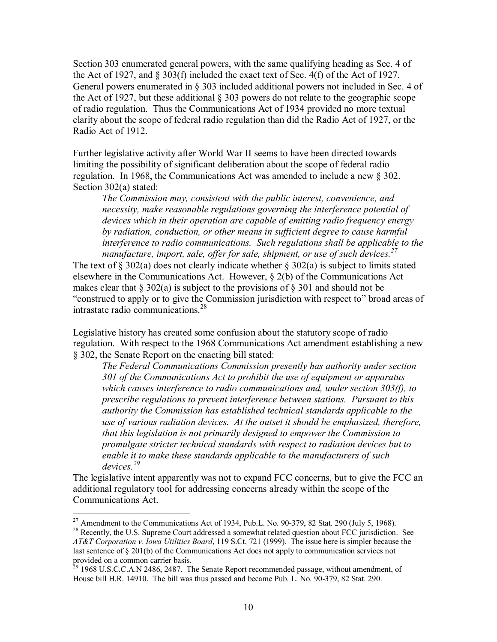Section 303 enumerated general powers, with the same qualifying heading as Sec. 4 of the Act of 1927, and § 303(f) included the exact text of Sec. 4(f) of the Act of 1927. General powers enumerated in § 303 included additional powers not included in Sec. 4 of the Act of 1927, but these additional § 303 powers do not relate to the geographic scope of radio regulation. Thus the Communications Act of 1934 provided no more textual clarity about the scope of federal radio regulation than did the Radio Act of 1927, or the Radio Act of 1912.

Further legislative activity after World War II seems to have been directed towards limiting the possibility of significant deliberation about the scope of federal radio regulation. In 1968, the Communications Act was amended to include a new § 302. Section 302(a) stated:

*The Commission may, consistent with the public interest, convenience, and necessity, make reasonable regulations governing the interference potential of devices which in their operation are capable of emitting radio frequency energy by radiation, conduction, or other means in sufficient degree to cause harmful interference to radio communications. Such regulations shall be applicable to the manufacture, import, sale, offer for sale, shipment, or use of such devices.<sup>27</sup>*

The text of  $\S 302(a)$  does not clearly indicate whether  $\S 302(a)$  is subject to limits stated elsewhere in the Communications Act. However, § 2(b) of the Communications Act makes clear that  $\S 302(a)$  is subject to the provisions of  $\S 301$  and should not be "construed to apply or to give the Commission jurisdiction with respect to" broad areas of intrastate radio communications.<sup>28</sup>

Legislative history has created some confusion about the statutory scope of radio regulation. With respect to the 1968 Communications Act amendment establishing a new § 302, the Senate Report on the enacting bill stated:

*The Federal Communications Commission presently has authority under section 301 of the Communications Act to prohibit the use of equipment or apparatus which causes interference to radio communications and, under section 303(f), to prescribe regulations to prevent interference between stations. Pursuant to this authority the Commission has established technical standards applicable to the use of various radiation devices. At the outset it should be emphasized, therefore, that this legislation is not primarily designed to empower the Commission to promulgate stricter technical standards with respect to radiation devices but to enable it to make these standards applicable to the manufacturers of such devices.<sup>29</sup>*

The legislative intent apparently was not to expand FCC concerns, but to give the FCC an additional regulatory tool for addressing concerns already within the scope of the Communications Act.

<sup>&</sup>lt;sup>27</sup> Amendment to the Communications Act of 1934, Pub.L. No. 90-379, 82 Stat. 290 (July 5, 1968). <sup>28</sup> Recently, the U.S. Supreme Court addressed a somewhat related question about FCC jurisdiction. See

*AT&T Corporation v. Iowa Utilities Board*, 119 S.Ct. 721 (1999). The issue here is simpler because the last sentence of § 201(b) of the Communications Act does not apply to communication services not provided on a common carrier basis.

 $29$  1968 U.S.C.C.A.N 2486, 2487. The Senate Report recommended passage, without amendment, of House bill H.R. 14910. The bill was thus passed and became Pub. L. No. 90-379, 82 Stat. 290.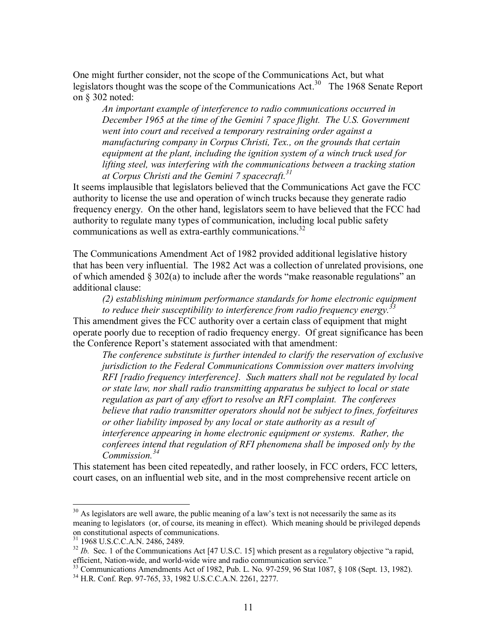One might further consider, not the scope of the Communications Act, but what legislators thought was the scope of the Communications Act.30 The 1968 Senate Report on § 302 noted:

*An important example of interference to radio communications occurred in December 1965 at the time of the Gemini 7 space flight. The U.S. Government went into court and received a temporary restraining order against a manufacturing company in Corpus Christi, Tex., on the grounds that certain equipment at the plant, including the ignition system of a winch truck used for lifting steel, was interfering with the communications between a tracking station at Corpus Christi and the Gemini 7 spacecraft.31*

It seems implausible that legislators believed that the Communications Act gave the FCC authority to license the use and operation of winch trucks because they generate radio frequency energy. On the other hand, legislators seem to have believed that the FCC had authority to regulate many types of communication, including local public safety communications as well as extra-earthly communications.<sup>32</sup>

The Communications Amendment Act of 1982 provided additional legislative history that has been very influential. The 1982 Act was a collection of unrelated provisions, one of which amended  $\S 302(a)$  to include after the words "make reasonable regulations" an additional clause:

*(2) establishing minimum performance standards for home electronic equipment to reduce their susceptibility to interference from radio frequency energy.<sup>33</sup>* This amendment gives the FCC authority over a certain class of equipment that might operate poorly due to reception of radio frequency energy. Of great significance has been the Conference Report's statement associated with that amendment:

*The conference substitute is further intended to clarify the reservation of exclusive jurisdiction to the Federal Communications Commission over matters involving RFI [radio frequency interference]. Such matters shall not be regulated by local or state law, nor shall radio transmitting apparatus be subject to local or state regulation as part of any effort to resolve an RFI complaint. The conferees believe that radio transmitter operators should not be subject to fines, forfeitures or other liability imposed by any local or state authority as a result of interference appearing in home electronic equipment or systems. Rather, the conferees intend that regulation of RFI phenomena shall be imposed only by the Commission.<sup>34</sup>*

This statement has been cited repeatedly, and rather loosely, in FCC orders, FCC letters, court cases, on an influential web site, and in the most comprehensive recent article on

 $\overline{a}$ 

 $33$  Communications Amendments Act of 1982, Pub. L. No. 97-259, 96 Stat 1087,  $\S$  108 (Sept. 13, 1982).

 $30$  As legislators are well aware, the public meaning of a law's text is not necessarily the same as its meaning to legislators (or, of course, its meaning in effect). Which meaning should be privileged depends on constitutional aspects of communications.

<sup>31 1968</sup> U.S.C.C.A.N. 2486, 2489.

<sup>&</sup>lt;sup>32</sup> *Ib.* Sec. 1 of the Communications Act [47 U.S.C. 15] which present as a regulatory objective "a rapid, efficient, Nation-wide, and world-wide wire and radio communication service."

<sup>34</sup> H.R. Conf. Rep. 97-765, 33, 1982 U.S.C.C.A.N. 2261, 2277.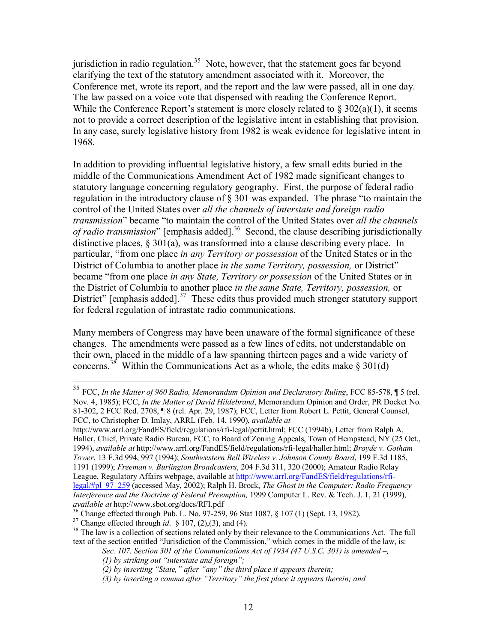jurisdiction in radio regulation.<sup>35</sup> Note, however, that the statement goes far beyond clarifying the text of the statutory amendment associated with it. Moreover, the Conference met, wrote its report, and the report and the law were passed, all in one day. The law passed on a voice vote that dispensed with reading the Conference Report. While the Conference Report's statement is more closely related to  $\delta$  302(a)(1), it seems not to provide a correct description of the legislative intent in establishing that provision. In any case, surely legislative history from 1982 is weak evidence for legislative intent in 1968.

In addition to providing influential legislative history, a few small edits buried in the middle of the Communications Amendment Act of 1982 made significant changes to statutory language concerning regulatory geography. First, the purpose of federal radio regulation in the introductory clause of § 301 was expanded. The phrase "to maintain the control of the United States over *all the channels of interstate and foreign radio transmission*" became "to maintain the control of the United States over *all the channels of radio transmission*" [emphasis added].<sup>36</sup> Second, the clause describing jurisdictionally distinctive places,  $\S 301(a)$ , was transformed into a clause describing every place. In particular, "from one place *in any Territory or possession* of the United States or in the District of Columbia to another place *in the same Territory, possession,* or District" became "from one place *in any State, Territory or possession* of the United States or in the District of Columbia to another place *in the same State, Territory, possession,* or District" [emphasis added].<sup>37</sup> These edits thus provided much stronger statutory support for federal regulation of intrastate radio communications.

Many members of Congress may have been unaware of the formal significance of these changes. The amendments were passed as a few lines of edits, not understandable on their own, placed in the middle of a law spanning thirteen pages and a wide variety of concerns.<sup>38</sup> Within the Communications Act as a whole, the edits make  $\S 301(d)$ 

http://www.arrl.org/FandES/field/regulations/rfi-legal/pettit.html; FCC (1994b), Letter from Ralph A. Haller, Chief, Private Radio Bureau, FCC, to Board of Zoning Appeals, Town of Hempstead, NY (25 Oct., 1994), *available at* http://www.arrl.org/FandES/field/regulations/rfi-legal/haller.html; *Broyde v. Gotham Tower*, 13 F.3d 994, 997 (1994); *Southwestern Bell Wireless v. Johnson County Board*, 199 F.3d 1185, 1191 (1999); *Freeman v. Burlington Broadcasters*, 204 F.3d 311, 320 (2000); Amateur Radio Relay League, Regulatory Affairs webpage, available at http://www.arrl.org/FandES/field/regulations/rfilegal/#pl\_97\_259 (accessed May, 2002); Ralph H. Brock, *The Ghost in the Computer: Radio Frequency Interference and the Doctrine of Federal Preemption,* 1999 Computer L. Rev. & Tech. J. 1, 21 (1999),

<u>.</u>

<sup>35</sup> FCC, *In the Matter of 960 Radio, Memorandum Opinion and Declaratory Ruling*, FCC 85-578, ¶ 5 (rel. Nov. 4, 1985); FCC, *In the Matter of David Hildebrand*, Memorandum Opinion and Order, PR Docket No. 81-302, 2 FCC Rcd. 2708, ¶ 8 (rel. Apr. 29, 1987); FCC, Letter from Robert L. Pettit, General Counsel, FCC, to Christopher D. Imlay, ARRL (Feb. 14, 1990), *available at* 

<sup>&</sup>lt;sup>36</sup> Change effected through Pub. L. No. 97-259, 96 Stat 1087, § 107 (1) (Sept. 13, 1982).<br><sup>37</sup> Change effected through *id.* § 107, (2),(3), and (4).

<sup>&</sup>lt;sup>38</sup> The law is a collection of sections related only by their relevance to the Communications Act. The full text of the section entitled "Jurisdiction of the Commission," which comes in the middle of the law, is:

*Sec. 107. Section 301 of the Communications Act of 1934 (47 U.S.C. 301) is amended –, (1) by striking out "interstate and foreign";* 

*<sup>(2)</sup> by inserting "State," after "any" the third place it appears therein;* 

*<sup>(3)</sup> by inserting a comma after "Territory" the first place it appears therein; and*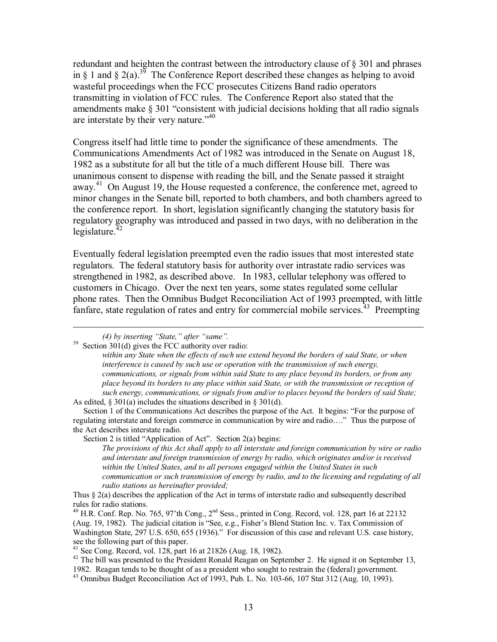redundant and heighten the contrast between the introductory clause of § 301 and phrases in § 1 and § 2(a).<sup>39</sup> The Conference Report described these changes as helping to avoid wasteful proceedings when the FCC prosecutes Citizens Band radio operators transmitting in violation of FCC rules. The Conference Report also stated that the amendments make § 301 "consistent with judicial decisions holding that all radio signals are interstate by their very nature."<sup>40</sup>

Congress itself had little time to ponder the significance of these amendments. The Communications Amendments Act of 1982 was introduced in the Senate on August 18, 1982 as a substitute for all but the title of a much different House bill. There was unanimous consent to dispense with reading the bill, and the Senate passed it straight away.<sup>41</sup> On August 19, the House requested a conference, the conference met, agreed to minor changes in the Senate bill, reported to both chambers, and both chambers agreed to the conference report. In short, legislation significantly changing the statutory basis for regulatory geography was introduced and passed in two days, with no deliberation in the legislature. $42$ 

Eventually federal legislation preempted even the radio issues that most interested state regulators. The federal statutory basis for authority over intrastate radio services was strengthened in 1982, as described above. In 1983, cellular telephony was offered to customers in Chicago. Over the next ten years, some states regulated some cellular phone rates. Then the Omnibus Budget Reconciliation Act of 1993 preempted, with little fanfare, state regulation of rates and entry for commercial mobile services.<sup>43</sup> Preempting

 $\overline{a}$ 

Section 2 is titled "Application of Act". Section 2(a) begins:

*<sup>(4)</sup> by inserting "State," after "same".* 39 Section 301(d) gives the FCC authority over radio:

*within any State when the effects of such use extend beyond the borders of said State, or when interference is caused by such use or operation with the transmission of such energy, communications, or signals from within said State to any place beyond its borders, or from any place beyond its borders to any place within said State, or with the transmission or reception of such energy, communications, or signals from and/or to places beyond the borders of said State;*  As edited,  $\S 301(a)$  includes the situations described in  $\S 301(d)$ .

Section 1 of the Communications Act describes the purpose of the Act. It begins: "For the purpose of regulating interstate and foreign commerce in communication by wire and radio…." Thus the purpose of the Act describes interstate radio.

*The provisions of this Act shall apply to all interstate and foreign communication by wire or radio and interstate and foreign transmission of energy by radio, which originates and/or is received within the United States, and to all persons engaged within the United States in such communication or such transmission of energy by radio, and to the licensing and regulating of all radio stations as hereinafter provided;* 

Thus § 2(a) describes the application of the Act in terms of interstate radio and subsequently described rules for radio stations.

 $^{40}$  H.R. Conf. Rep. No. 765, 97'th Cong.,  $2<sup>nd</sup>$  Sess., printed in Cong. Record, vol. 128, part 16 at 22132 (Aug. 19, 1982). The judicial citation is "See, e.g., Fisher's Blend Station Inc. v. Tax Commission of Washington State, 297 U.S. 650, 655 (1936)." For discussion of this case and relevant U.S. case history, see the following part of this paper.

<sup>41</sup> See Cong. Record, vol. 128, part 16 at 21826 (Aug. 18, 1982).

<sup>&</sup>lt;sup>42</sup> The bill was presented to the President Ronald Reagan on September 2. He signed it on September 13, 1982. Reagan tends to be thought of as a president who sought to restrain the (federal) government.

<sup>43</sup> Omnibus Budget Reconciliation Act of 1993, Pub. L. No. 103-66, 107 Stat 312 (Aug. 10, 1993).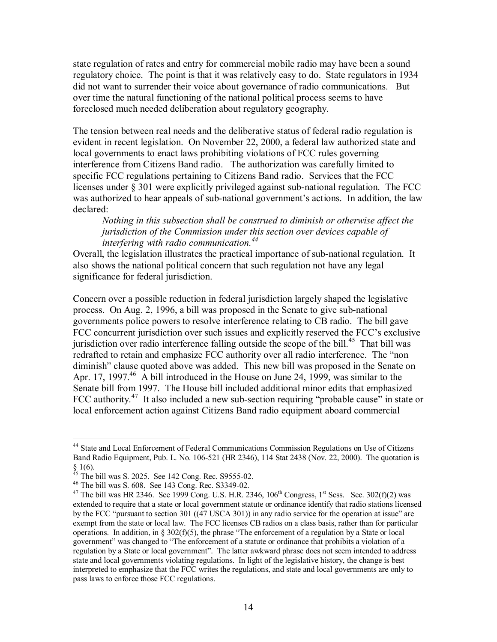state regulation of rates and entry for commercial mobile radio may have been a sound regulatory choice. The point is that it was relatively easy to do. State regulators in 1934 did not want to surrender their voice about governance of radio communications. But over time the natural functioning of the national political process seems to have foreclosed much needed deliberation about regulatory geography.

The tension between real needs and the deliberative status of federal radio regulation is evident in recent legislation. On November 22, 2000, a federal law authorized state and local governments to enact laws prohibiting violations of FCC rules governing interference from Citizens Band radio. The authorization was carefully limited to specific FCC regulations pertaining to Citizens Band radio. Services that the FCC licenses under § 301 were explicitly privileged against sub-national regulation. The FCC was authorized to hear appeals of sub-national government's actions. In addition, the law declared:

### *Nothing in this subsection shall be construed to diminish or otherwise affect the jurisdiction of the Commission under this section over devices capable of interfering with radio communication.44*

Overall, the legislation illustrates the practical importance of sub-national regulation. It also shows the national political concern that such regulation not have any legal significance for federal jurisdiction.

Concern over a possible reduction in federal jurisdiction largely shaped the legislative process. On Aug. 2, 1996, a bill was proposed in the Senate to give sub-national governments police powers to resolve interference relating to CB radio. The bill gave FCC concurrent jurisdiction over such issues and explicitly reserved the FCC's exclusive jurisdiction over radio interference falling outside the scope of the bill.<sup>45</sup> That bill was redrafted to retain and emphasize FCC authority over all radio interference. The "non diminish" clause quoted above was added. This new bill was proposed in the Senate on Apr. 17, 1997.<sup>46</sup> A bill introduced in the House on June 24, 1999, was similar to the Senate bill from 1997. The House bill included additional minor edits that emphasized FCC authority.<sup>47</sup> It also included a new sub-section requiring "probable cause" in state or local enforcement action against Citizens Band radio equipment aboard commercial

<sup>&</sup>lt;sup>44</sup> State and Local Enforcement of Federal Communications Commission Regulations on Use of Citizens Band Radio Equipment, Pub. L. No. 106-521 (HR 2346), 114 Stat 2438 (Nov. 22, 2000). The quotation is  $§ 1(6).$ 

 $45$  The bill was S. 2025. See 142 Cong. Rec. S9555-02.

<sup>46</sup> The bill was S. 608. See 143 Cong. Rec. S3349-02.

<sup>&</sup>lt;sup>47</sup> The bill was HR 2346. See 1999 Cong. U.S. H.R. 2346,  $106<sup>th</sup>$  Congress,  $1<sup>st</sup>$  Sess. Sec. 302(f)(2) was extended to require that a state or local government statute or ordinance identify that radio stations licensed by the FCC "pursuant to section 301 ((47 USCA 301)) in any radio service for the operation at issue" are exempt from the state or local law. The FCC licenses CB radios on a class basis, rather than for particular operations. In addition, in  $\S 302(f)(5)$ , the phrase "The enforcement of a regulation by a State or local government" was changed to "The enforcement of a statute or ordinance that prohibits a violation of a regulation by a State or local government". The latter awkward phrase does not seem intended to address state and local governments violating regulations. In light of the legislative history, the change is best interpreted to emphasize that the FCC writes the regulations, and state and local governments are only to pass laws to enforce those FCC regulations.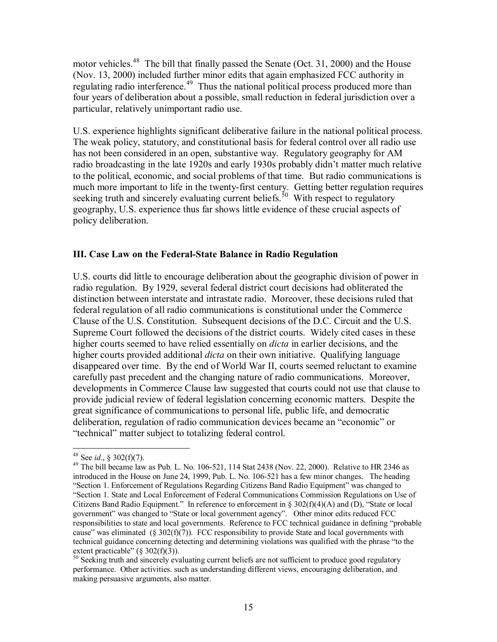motor vehicles.<sup>48</sup> The bill that finally passed the Senate (Oct. 31, 2000) and the House (Nov. 13, 2000) included further minor edits that again emphasized FCC authority in regulating radio interference.<sup>49</sup> Thus the national political process produced more than four years of deliberation about a possible, small reduction in federal jurisdiction over a particular, relatively unimportant radio use.

U.S. experience highlights significant deliberative failure in the national political process. The weak policy, statutory, and constitutional basis for federal control over all radio use has not been considered in an open, substantive way. Regulatory geography for AM radio broadcasting in the late 1920s and early 1930s probably didn't matter much relative to the political, economic, and social problems of that time. But radio communications is much more important to life in the twenty-first century. Getting better regulation requires seeking truth and sincerely evaluating current beliefs.<sup>50</sup> With respect to regulatory geography, U.S. experience thus far shows little evidence of these crucial aspects of policy deliberation.

### **III. Case Law on the Federal-State Balance in Radio Regulation**

U.S. courts did little to encourage deliberation about the geographic division of power in radio regulation. By 1929, several federal district court decisions had obliterated the distinction between interstate and intrastate radio. Moreover, these decisions ruled that federal regulation of all radio communications is constitutional under the Commerce Clause of the U.S. Constitution. Subsequent decisions of the D.C. Circuit and the U.S. Supreme Court followed the decisions of the district courts. Widely cited cases in these higher courts seemed to have relied essentially on *dicta* in earlier decisions, and the higher courts provided additional *dicta* on their own initiative. Qualifying language disappeared over time. By the end of World War II, courts seemed reluctant to examine carefully past precedent and the changing nature of radio communications. Moreover, developments in Commerce Clause law suggested that courts could not use that clause to provide judicial review of federal legislation concerning economic matters. Despite the great significance of communications to personal life, public life, and democratic deliberation, regulation of radio communication devices became an "economic" or "technical" matter subject to totalizing federal control.

<sup>&</sup>lt;sup>48</sup> See *id.*, § 302(f)(7).<br><sup>49</sup> The bill became law as Pub. L. No. 106-521, 114 Stat 2438 (Nov. 22, 2000). Relative to HR 2346 as introduced in the House on June 24, 1999, Pub. L. No. 106-521 has a few minor changes. The heading "Section 1. Enforcement of Regulations Regarding Citizens Band Radio Equipment" was changed to "Section 1. State and Local Enforcement of Federal Communications Commission Regulations on Use of Citizens Band Radio Equipment." In reference to enforcement in § 302(f)(4)(A) and (D), "State or local government" was changed to "State or local government agency". Other minor edits reduced FCC responsibilities to state and local governments. Reference to FCC technical guidance in defining "probable cause" was eliminated  $(\S 302(f)(7))$ . FCC responsibility to provide State and local governments with technical guidance concerning detecting and determining violations was qualified with the phrase "to the extent practicable" ( $\S 302(f)(3)$ ).

<sup>&</sup>lt;sup>50</sup> Seeking truth and sincerely evaluating current beliefs are not sufficient to produce good regulatory performance. Other activities. such as understanding different views, encouraging deliberation, and making persuasive arguments, also matter.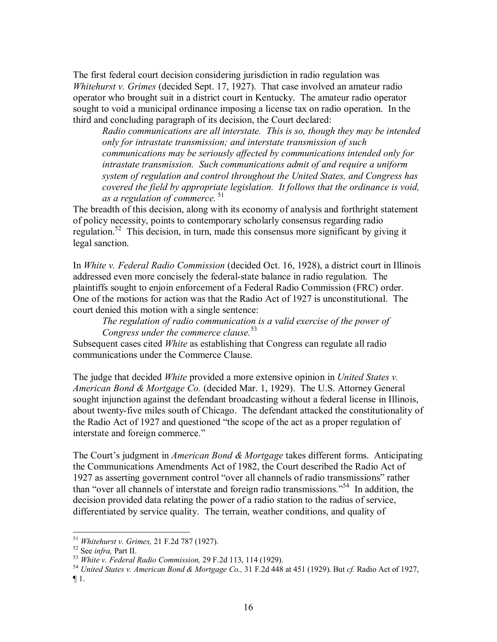The first federal court decision considering jurisdiction in radio regulation was *Whitehurst v. Grimes* (decided Sept. 17, 1927). That case involved an amateur radio operator who brought suit in a district court in Kentucky. The amateur radio operator sought to void a municipal ordinance imposing a license tax on radio operation. In the third and concluding paragraph of its decision, the Court declared:

*Radio communications are all interstate. This is so, though they may be intended only for intrastate transmission; and interstate transmission of such communications may be seriously affected by communications intended only for intrastate transmission. Such communications admit of and require a uniform system of regulation and control throughout the United States, and Congress has covered the field by appropriate legislation. It follows that the ordinance is void, as a regulation of commerce.*<sup>51</sup>

The breadth of this decision, along with its economy of analysis and forthright statement of policy necessity, points to contemporary scholarly consensus regarding radio regulation.<sup>52</sup> This decision, in turn, made this consensus more significant by giving it legal sanction.

In *White v. Federal Radio Commission* (decided Oct. 16, 1928), a district court in Illinois addressed even more concisely the federal-state balance in radio regulation. The plaintiffs sought to enjoin enforcement of a Federal Radio Commission (FRC) order. One of the motions for action was that the Radio Act of 1927 is unconstitutional. The court denied this motion with a single sentence:

### *The regulation of radio communication is a valid exercise of the power of Congress under the commerce clause.*<sup>53</sup>

Subsequent cases cited *White* as establishing that Congress can regulate all radio communications under the Commerce Clause.

The judge that decided *White* provided a more extensive opinion in *United States v. American Bond & Mortgage Co.* (decided Mar. 1, 1929). The U.S. Attorney General sought injunction against the defendant broadcasting without a federal license in Illinois, about twenty-five miles south of Chicago. The defendant attacked the constitutionality of the Radio Act of 1927 and questioned "the scope of the act as a proper regulation of interstate and foreign commerce."

The Court's judgment in *American Bond & Mortgage* takes different forms. Anticipating the Communications Amendments Act of 1982, the Court described the Radio Act of 1927 as asserting government control "over all channels of radio transmissions" rather than "over all channels of interstate and foreign radio transmissions."<sup>54</sup> In addition, the decision provided data relating the power of a radio station to the radius of service, differentiated by service quality. The terrain, weather conditions, and quality of

 $51$  Whitehurst v. Grimes, 21 F.2d 787 (1927).

<sup>&</sup>lt;sup>52</sup> See infra, Part II.<br><sup>53</sup> White v. Federal Radio Commission, 29 F.2d 113, 114 (1929).<br><sup>54</sup> United States v. American Bond & Mortgage Co., 31 F.2d 448 at 451 (1929). But cf. Radio Act of 1927,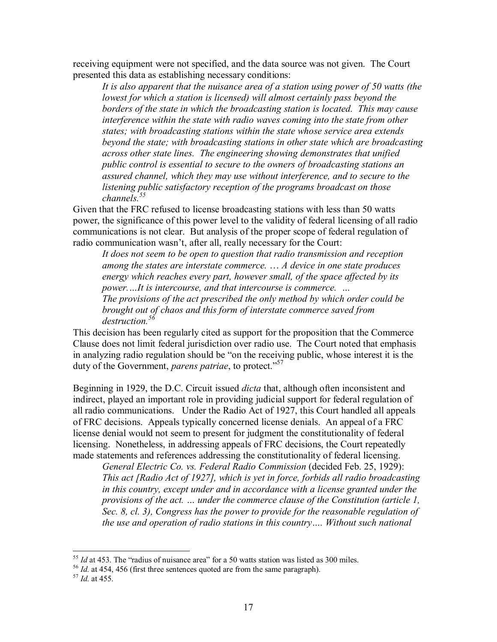receiving equipment were not specified, and the data source was not given. The Court presented this data as establishing necessary conditions:

*It is also apparent that the nuisance area of a station using power of 50 watts (the lowest for which a station is licensed) will almost certainly pass beyond the borders of the state in which the broadcasting station is located. This may cause interference within the state with radio waves coming into the state from other states; with broadcasting stations within the state whose service area extends beyond the state; with broadcasting stations in other state which are broadcasting across other state lines. The engineering showing demonstrates that unified public control is essential to secure to the owners of broadcasting stations an assured channel, which they may use without interference, and to secure to the listening public satisfactory reception of the programs broadcast on those channels.55* 

Given that the FRC refused to license broadcasting stations with less than 50 watts power, the significance of this power level to the validity of federal licensing of all radio communications is not clear. But analysis of the proper scope of federal regulation of radio communication wasn't, after all, really necessary for the Court:

*It does not seem to be open to question that radio transmission and reception among the states are interstate commerce.* … *A device in one state produces energy which reaches every part, however small, of the space affected by its power.…It is intercourse, and that intercourse is commerce. …* 

*The provisions of the act prescribed the only method by which order could be brought out of chaos and this form of interstate commerce saved from destruction.<sup>56</sup>*

This decision has been regularly cited as support for the proposition that the Commerce Clause does not limit federal jurisdiction over radio use. The Court noted that emphasis in analyzing radio regulation should be "on the receiving public, whose interest it is the duty of the Government, *parens patriae*, to protect."57

Beginning in 1929, the D.C. Circuit issued *dicta* that, although often inconsistent and indirect, played an important role in providing judicial support for federal regulation of all radio communications. Under the Radio Act of 1927, this Court handled all appeals of FRC decisions. Appeals typically concerned license denials. An appeal of a FRC license denial would not seem to present for judgment the constitutionality of federal licensing. Nonetheless, in addressing appeals of FRC decisions, the Court repeatedly made statements and references addressing the constitutionality of federal licensing.

*General Electric Co. vs. Federal Radio Commission* (decided Feb. 25, 1929): *This act [Radio Act of 1927], which is yet in force, forbids all radio broadcasting in this country, except under and in accordance with a license granted under the provisions of the act. … under the commerce clause of the Constitution (article 1, Sec. 8, cl. 3), Congress has the power to provide for the reasonable regulation of the use and operation of radio stations in this country…. Without such national* 

<sup>&</sup>lt;sup>55</sup> *Id* at 453. The "radius of nuisance area" for a 50 watts station was listed as 300 miles. <sup>56</sup> *Id.* at 454, 456 (first three sentences quoted are from the same paragraph). <sup>57</sup> *Id.* at 455.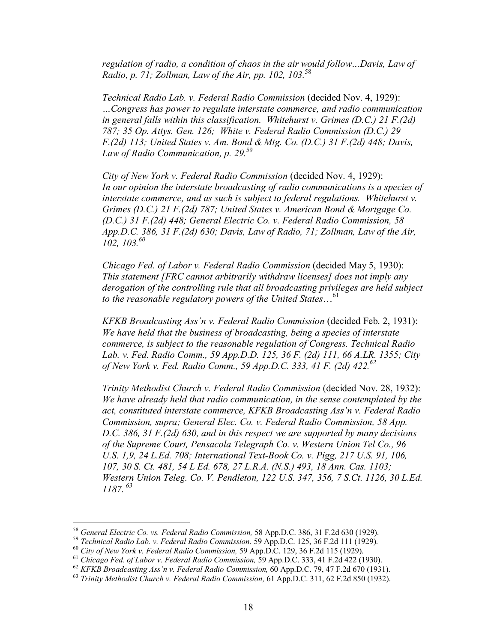regulation of radio, a condition of chaos in the air would follow...Davis, Law of *Radio, p. 71; Zollman, Law of the Air, pp. 102, 103.*<sup>58</sup>

*Technical Radio Lab. v. Federal Radio Commission* (decided Nov. 4, 1929): *…Congress has power to regulate interstate commerce, and radio communication in general falls within this classification. Whitehurst v. Grimes (D.C.) 21 F.(2d) 787; 35 Op. Attys. Gen. 126; White v. Federal Radio Commission (D.C.) 29 F.(2d) 113; United States v. Am. Bond & Mtg. Co. (D.C.) 31 F.(2d) 448; Davis, Law of Radio Communication, p. 29.*<sup>59</sup>

*City of New York v. Federal Radio Commission* (decided Nov. 4, 1929): *In our opinion the interstate broadcasting of radio communications is a species of interstate commerce, and as such is subject to federal regulations. Whitehurst v. Grimes (D.C.) 21 F.(2d) 787; United States v. American Bond & Mortgage Co. (D.C.) 31 F.(2d) 448; General Electric Co. v. Federal Radio Commission, 58 App.D.C. 386, 31 F.(2d) 630; Davis, Law of Radio, 71; Zollman, Law of the Air, 102, 103.60* 

*Chicago Fed. of Labor v. Federal Radio Commission* (decided May 5, 1930): *This statement [FRC cannot arbitrarily withdraw licenses] does not imply any derogation of the controlling rule that all broadcasting privileges are held subject to the reasonable regulatory powers of the United States*…61

*KFKB Broadcasting Ass'n v. Federal Radio Commission* (decided Feb. 2, 1931): *We have held that the business of broadcasting, being a species of interstate commerce, is subject to the reasonable regulation of Congress. Technical Radio Lab. v. Fed. Radio Comm., 59 App.D.D. 125, 36 F. (2d) 111, 66 A.LR. 1355; City of New York v. Fed. Radio Comm., 59 App.D.C. 333, 41 F. (2d) 422.62*

*Trinity Methodist Church v. Federal Radio Commission* (decided Nov. 28, 1932): *We have already held that radio communication, in the sense contemplated by the act, constituted interstate commerce, KFKB Broadcasting Ass'n v. Federal Radio Commission, supra; General Elec. Co. v. Federal Radio Commission, 58 App. D.C. 386, 31 F.(2d) 630, and in this respect we are supported by many decisions of the Supreme Court, Pensacola Telegraph Co. v. Western Union Tel Co., 96 U.S. 1,9, 24 L.Ed. 708; International Text-Book Co. v. Pigg, 217 U.S. 91, 106, 107, 30 S. Ct. 481, 54 L Ed. 678, 27 L.R.A. (N.S.) 493, 18 Ann. Cas. 1103; Western Union Teleg. Co. V. Pendleton, 122 U.S. 347, 356, 7 S.Ct. 1126, 30 L.Ed. 1187.<sup>63</sup>*

<sup>&</sup>lt;sup>58</sup> General Electric Co. vs. Federal Radio Commission, 58 App.D.C. 386, 31 F.2d 630 (1929).

<sup>&</sup>lt;sup>59</sup> Technical Radio Lab. v. Federal Radio Commission. 59 App.D.C. 125, 36 F.2d 111 (1929).<br><sup>60</sup> City of New York v. Federal Radio Commission, 59 App.D.C. 129, 36 F.2d 115 (1929).<br><sup>61</sup> Chicago Fed. of Labor v. Federal Rad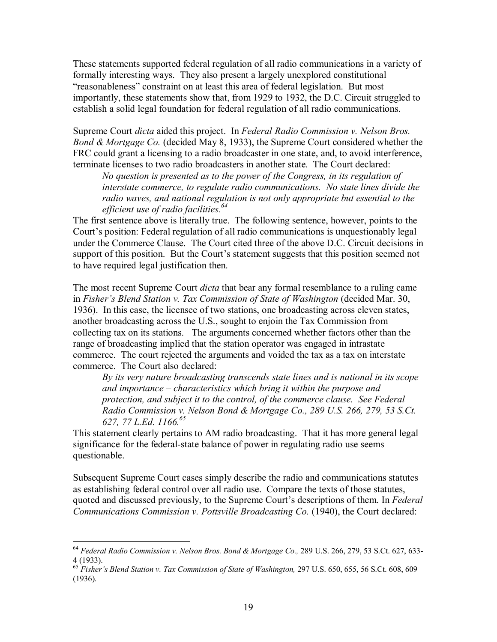These statements supported federal regulation of all radio communications in a variety of formally interesting ways. They also present a largely unexplored constitutional "reasonableness" constraint on at least this area of federal legislation. But most importantly, these statements show that, from 1929 to 1932, the D.C. Circuit struggled to establish a solid legal foundation for federal regulation of all radio communications.

Supreme Court *dicta* aided this project. In *Federal Radio Commission v. Nelson Bros. Bond & Mortgage Co.* (decided May 8, 1933), the Supreme Court considered whether the FRC could grant a licensing to a radio broadcaster in one state, and, to avoid interference, terminate licenses to two radio broadcasters in another state. The Court declared:

*No question is presented as to the power of the Congress, in its regulation of interstate commerce, to regulate radio communications. No state lines divide the radio waves, and national regulation is not only appropriate but essential to the efficient use of radio facilities.<sup>64</sup>*

The first sentence above is literally true. The following sentence, however, points to the Court's position: Federal regulation of all radio communications is unquestionably legal under the Commerce Clause. The Court cited three of the above D.C. Circuit decisions in support of this position. But the Court's statement suggests that this position seemed not to have required legal justification then.

The most recent Supreme Court *dicta* that bear any formal resemblance to a ruling came in *Fisher's Blend Station v. Tax Commission of State of Washington* (decided Mar. 30, 1936). In this case, the licensee of two stations, one broadcasting across eleven states, another broadcasting across the U.S., sought to enjoin the Tax Commission from collecting tax on its stations. The arguments concerned whether factors other than the range of broadcasting implied that the station operator was engaged in intrastate commerce. The court rejected the arguments and voided the tax as a tax on interstate commerce. The Court also declared:

*By its very nature broadcasting transcends state lines and is national in its scope and importance – characteristics which bring it within the purpose and protection, and subject it to the control, of the commerce clause. See Federal Radio Commission v. Nelson Bond & Mortgage Co., 289 U.S. 266, 279, 53 S.Ct. 627, 77 L.Ed. 1166.65*

This statement clearly pertains to AM radio broadcasting. That it has more general legal significance for the federal-state balance of power in regulating radio use seems questionable.

Subsequent Supreme Court cases simply describe the radio and communications statutes as establishing federal control over all radio use. Compare the texts of those statutes, quoted and discussed previously, to the Supreme Court's descriptions of them. In *Federal Communications Commission v. Pottsville Broadcasting Co.* (1940), the Court declared:

1

<sup>64</sup> *Federal Radio Commission v. Nelson Bros. Bond & Mortgage Co.,* 289 U.S. 266, 279, 53 S.Ct. 627, 633- 4 (1933).

<sup>65</sup> *Fisher's Blend Station v. Tax Commission of State of Washington,* 297 U.S. 650, 655, 56 S.Ct. 608, 609 (1936).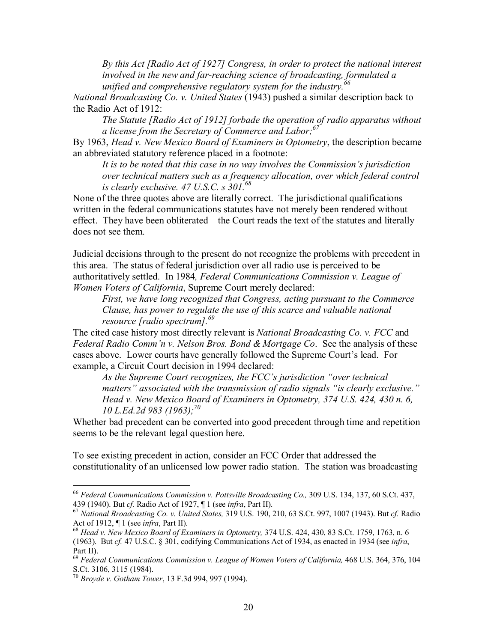*By this Act [Radio Act of 1927] Congress, in order to protect the national interest involved in the new and far-reaching science of broadcasting, formulated a unified and comprehensive regulatory system for the industry.<sup>66</sup>*

*National Broadcasting Co. v. United States* (1943) pushed a similar description back to the Radio Act of 1912:

*The Statute [Radio Act of 1912] forbade the operation of radio apparatus without a license from the Secretary of Commerce and Labor;<sup>67</sup>*

By 1963, *Head v. New Mexico Board of Examiners in Optometry*, the description became an abbreviated statutory reference placed in a footnote:

*It is to be noted that this case in no way involves the Commission's jurisdiction over technical matters such as a frequency allocation, over which federal control is clearly exclusive. 47 U.S.C. s 301.68* 

None of the three quotes above are literally correct. The jurisdictional qualifications written in the federal communications statutes have not merely been rendered without effect. They have been obliterated – the Court reads the text of the statutes and literally does not see them.

Judicial decisions through to the present do not recognize the problems with precedent in this area. The status of federal jurisdiction over all radio use is perceived to be authoritatively settled. In 1984*, Federal Communications Commission v. League of Women Voters of California*, Supreme Court merely declared:

*First, we have long recognized that Congress, acting pursuant to the Commerce Clause, has power to regulate the use of this scarce and valuable national resource [radio spectrum].<sup>69</sup>*

The cited case history most directly relevant is *National Broadcasting Co. v. FCC* and *Federal Radio Comm'n v. Nelson Bros. Bond & Mortgage Co*. See the analysis of these cases above. Lower courts have generally followed the Supreme Court's lead. For example, a Circuit Court decision in 1994 declared:

*As the Supreme Court recognizes, the FCC's jurisdiction "over technical matters" associated with the transmission of radio signals "is clearly exclusive." Head v. New Mexico Board of Examiners in Optometry, 374 U.S. 424, 430 n. 6, 10 L.Ed.2d 983 (1963);70*

Whether bad precedent can be converted into good precedent through time and repetition seems to be the relevant legal question here.

To see existing precedent in action, consider an FCC Order that addressed the constitutionality of an unlicensed low power radio station. The station was broadcasting

<u>.</u>

<sup>66</sup> *Federal Communications Commission v. Pottsville Broadcasting Co.,* 309 U.S. 134, 137, 60 S.Ct. 437, 439 (1940). But *cf.* Radio Act of 1927, ¶ 1 (see *infra*, Part II). 67 *National Broadcasting Co. v. United States,* 319 U.S. 190, 210, 63 S.Ct. 997, 1007 (1943). But *cf.* Radio

Act of 1912, ¶ 1 (see *infra*, Part II).<br><sup>68</sup> *Head v. New Mexico Board of Examiners in Optometry*, 374 U.S. 424, 430, 83 S.Ct. 1759, 1763, n. 6

<sup>(1963).</sup> But *cf.* 47 U.S.C. § 301, codifying Communications Act of 1934, as enacted in 1934 (see *infra*, Part II).

<sup>69</sup> *Federal Communications Commission v. League of Women Voters of California,* 468 U.S. 364, 376, 104 S.Ct. 3106, 3115 (1984).

<sup>70</sup> *Broyde v. Gotham Tower*, 13 F.3d 994, 997 (1994).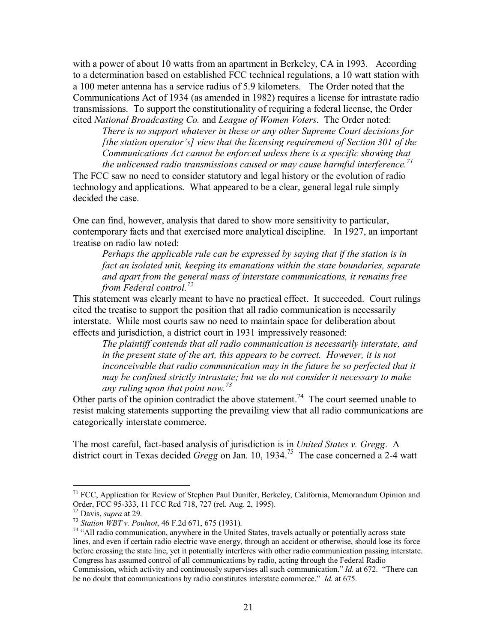with a power of about 10 watts from an apartment in Berkeley, CA in 1993. According to a determination based on established FCC technical regulations, a 10 watt station with a 100 meter antenna has a service radius of 5.9 kilometers. The Order noted that the Communications Act of 1934 (as amended in 1982) requires a license for intrastate radio transmissions. To support the constitutionality of requiring a federal license, the Order cited *National Broadcasting Co.* and *League of Women Voters*. The Order noted:

*There is no support whatever in these or any other Supreme Court decisions for [the station operator's] view that the licensing requirement of Section 301 of the Communications Act cannot be enforced unless there is a specific showing that the unlicensed radio transmissions caused or may cause harmful interference.<sup>71</sup>*

The FCC saw no need to consider statutory and legal history or the evolution of radio technology and applications. What appeared to be a clear, general legal rule simply decided the case.

One can find, however, analysis that dared to show more sensitivity to particular, contemporary facts and that exercised more analytical discipline. In 1927, an important treatise on radio law noted:

*Perhaps the applicable rule can be expressed by saying that if the station is in fact an isolated unit, keeping its emanations within the state boundaries, separate and apart from the general mass of interstate communications, it remains free from Federal control.<sup>72</sup>*

This statement was clearly meant to have no practical effect. It succeeded. Court rulings cited the treatise to support the position that all radio communication is necessarily interstate. While most courts saw no need to maintain space for deliberation about effects and jurisdiction, a district court in 1931 impressively reasoned:

*The plaintiff contends that all radio communication is necessarily interstate, and in the present state of the art, this appears to be correct. However, it is not inconceivable that radio communication may in the future be so perfected that it may be confined strictly intrastate; but we do not consider it necessary to make any ruling upon that point now.<sup>73</sup>*

Other parts of the opinion contradict the above statement.<sup>74</sup> The court seemed unable to resist making statements supporting the prevailing view that all radio communications are categorically interstate commerce.

The most careful, fact-based analysis of jurisdiction is in *United States v. Gregg*. A district court in Texas decided *Gregg* on Jan. 10, 1934.75 The case concerned a 2-4 watt

<sup>&</sup>lt;sup>71</sup> FCC, Application for Review of Stephen Paul Dunifer, Berkeley, California, Memorandum Opinion and Order, FCC 95-333, 11 FCC Rcd 718, 727 (rel. Aug. 2, 1995).<br><sup>72</sup> Davis. *supra* at 29.

<sup>72</sup> Davis, *supra* at 29. 73 *Station WBT v. Poulnot*, 46 F.2d 671, 675 (1931). 74 "All radio communication, anywhere in the United States, travels actually or potentially across state lines, and even if certain radio electric wave energy, through an accident or otherwise, should lose its force before crossing the state line, yet it potentially interferes with other radio communication passing interstate. Congress has assumed control of all communications by radio, acting through the Federal Radio

Commission, which activity and continuously supervises all such communication." *Id.* at 672. "There can be no doubt that communications by radio constitutes interstate commerce." *Id.* at 675.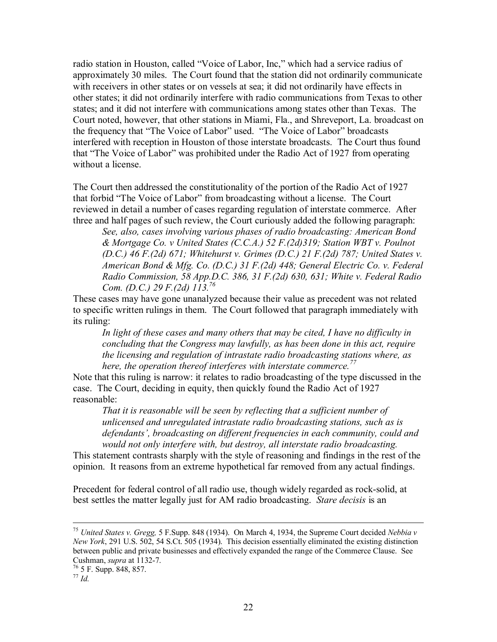radio station in Houston, called "Voice of Labor, Inc," which had a service radius of approximately 30 miles. The Court found that the station did not ordinarily communicate with receivers in other states or on vessels at sea; it did not ordinarily have effects in other states; it did not ordinarily interfere with radio communications from Texas to other states; and it did not interfere with communications among states other than Texas. The Court noted, however, that other stations in Miami, Fla., and Shreveport, La. broadcast on the frequency that "The Voice of Labor" used. "The Voice of Labor" broadcasts interfered with reception in Houston of those interstate broadcasts. The Court thus found that "The Voice of Labor" was prohibited under the Radio Act of 1927 from operating without a license.

The Court then addressed the constitutionality of the portion of the Radio Act of 1927 that forbid "The Voice of Labor" from broadcasting without a license. The Court reviewed in detail a number of cases regarding regulation of interstate commerce. After three and half pages of such review, the Court curiously added the following paragraph:

*See, also, cases involving various phases of radio broadcasting: American Bond & Mortgage Co. v United States (C.C.A.) 52 F.(2d)319; Station WBT v. Poulnot (D.C.) 46 F.(2d) 671; Whitehurst v. Grimes (D.C.) 21 F.(2d) 787; United States v. American Bond & Mfg. Co. (D.C.) 31 F.(2d) 448; General Electric Co. v. Federal Radio Commission, 58 App.D.C. 386, 31 F.(2d) 630, 631; White v. Federal Radio Com. (D.C.) 29 F.(2d) 113.76*

These cases may have gone unanalyzed because their value as precedent was not related to specific written rulings in them. The Court followed that paragraph immediately with its ruling:

*In light of these cases and many others that may be cited, I have no difficulty in concluding that the Congress may lawfully, as has been done in this act, require the licensing and regulation of intrastate radio broadcasting stations where, as here, the operation thereof interferes with interstate commerce.<sup>77</sup>*

Note that this ruling is narrow: it relates to radio broadcasting of the type discussed in the case. The Court, deciding in equity, then quickly found the Radio Act of 1927 reasonable:

*That it is reasonable will be seen by reflecting that a sufficient number of unlicensed and unregulated intrastate radio broadcasting stations, such as is defendants', broadcasting on different frequencies in each community, could and would not only interfere with, but destroy, all interstate radio broadcasting.* 

This statement contrasts sharply with the style of reasoning and findings in the rest of the opinion. It reasons from an extreme hypothetical far removed from any actual findings.

Precedent for federal control of all radio use, though widely regarded as rock-solid, at best settles the matter legally just for AM radio broadcasting. *Stare decisis* is an

 <sup>75</sup> *United States v. Gregg,* 5 F.Supp. 848 (1934). On March 4, 1934, the Supreme Court decided *Nebbia v New York*, 291 U.S. 502, 54 S.Ct. 505 (1934). This decision essentially eliminated the existing distinction between public and private businesses and effectively expanded the range of the Commerce Clause. See Cushman, *supra* at 1132-7.

<sup>77</sup> *Id.*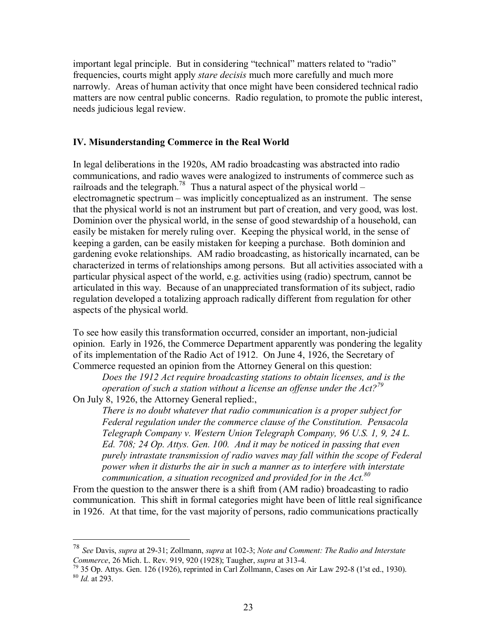important legal principle. But in considering "technical" matters related to "radio" frequencies, courts might apply *stare decisis* much more carefully and much more narrowly. Areas of human activity that once might have been considered technical radio matters are now central public concerns. Radio regulation, to promote the public interest, needs judicious legal review.

#### **IV. Misunderstanding Commerce in the Real World**

In legal deliberations in the 1920s, AM radio broadcasting was abstracted into radio communications, and radio waves were analogized to instruments of commerce such as railroads and the telegraph.<sup>78</sup> Thus a natural aspect of the physical world – electromagnetic spectrum – was implicitly conceptualized as an instrument. The sense that the physical world is not an instrument but part of creation, and very good, was lost. Dominion over the physical world, in the sense of good stewardship of a household, can easily be mistaken for merely ruling over. Keeping the physical world, in the sense of keeping a garden, can be easily mistaken for keeping a purchase. Both dominion and gardening evoke relationships. AM radio broadcasting, as historically incarnated, can be characterized in terms of relationships among persons. But all activities associated with a particular physical aspect of the world, e.g. activities using (radio) spectrum, cannot be articulated in this way. Because of an unappreciated transformation of its subject, radio regulation developed a totalizing approach radically different from regulation for other aspects of the physical world.

To see how easily this transformation occurred, consider an important, non-judicial opinion. Early in 1926, the Commerce Department apparently was pondering the legality of its implementation of the Radio Act of 1912. On June 4, 1926, the Secretary of Commerce requested an opinion from the Attorney General on this question:

*Does the 1912 Act require broadcasting stations to obtain licenses, and is the operation of such a station without a license an offense under the Act?<sup>79</sup>* On July 8, 1926, the Attorney General replied:,

*There is no doubt whatever that radio communication is a proper subject for Federal regulation under the commerce clause of the Constitution. Pensacola Telegraph Company v. Western Union Telegraph Company, 96 U.S. 1, 9, 24 L. Ed. 708; 24 Op. Attys. Gen. 100. And it may be noticed in passing that even purely intrastate transmission of radio waves may fall within the scope of Federal power when it disturbs the air in such a manner as to interfere with interstate communication, a situation recognized and provided for in the Act.80*

From the question to the answer there is a shift from (AM radio) broadcasting to radio communication. This shift in formal categories might have been of little real significance in 1926. At that time, for the vast majority of persons, radio communications practically

<u>.</u>

<sup>78</sup> *See* Davis, *supra* at 29-31; Zollmann, *supra* at 102-3; *Note and Comment: The Radio and Interstate Commerce*, 26 Mich. L. Rev. 919, 920 (1928); Taugher, *supra* at 313-4.<br><sup>79</sup> 35 Op. Attys. Gen. 126 (1926), reprinted in Carl Zollmann, Cases on Air Law 292-8 (1'st ed., 1930).

<sup>80</sup> *Id.* at 293.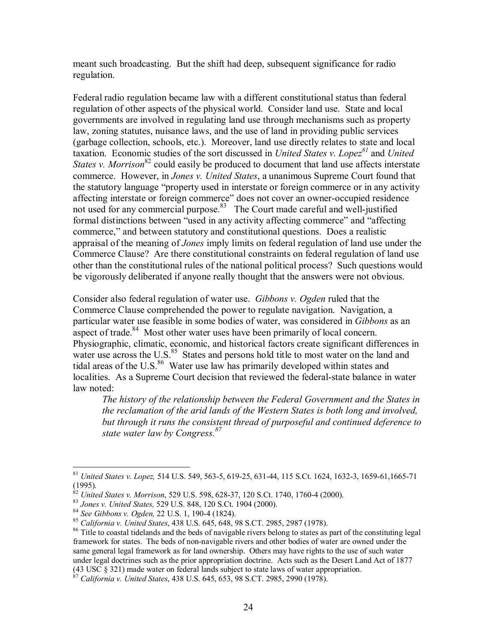meant such broadcasting. But the shift had deep, subsequent significance for radio regulation.

Federal radio regulation became law with a different constitutional status than federal regulation of other aspects of the physical world. Consider land use. State and local governments are involved in regulating land use through mechanisms such as property law, zoning statutes, nuisance laws, and the use of land in providing public services (garbage collection, schools, etc.). Moreover, land use directly relates to state and local taxation. Economic studies of the sort discussed in *United States v. Lopez81* and *United States v. Morrison*<sup>82</sup> could easily be produced to document that land use affects interstate commerce. However, in *Jones v. United States*, a unanimous Supreme Court found that the statutory language "property used in interstate or foreign commerce or in any activity affecting interstate or foreign commerce" does not cover an owner-occupied residence not used for any commercial purpose.<sup>83</sup> The Court made careful and well-justified formal distinctions between "used in any activity affecting commerce" and "affecting commerce," and between statutory and constitutional questions. Does a realistic appraisal of the meaning of *Jones* imply limits on federal regulation of land use under the Commerce Clause? Are there constitutional constraints on federal regulation of land use other than the constitutional rules of the national political process? Such questions would be vigorously deliberated if anyone really thought that the answers were not obvious.

Consider also federal regulation of water use. *Gibbons v. Ogden* ruled that the Commerce Clause comprehended the power to regulate navigation. Navigation, a particular water use feasible in some bodies of water, was considered in *Gibbons* as an aspect of trade. $84$  Most other water uses have been primarily of local concern. Physiographic, climatic, economic, and historical factors create significant differences in water use across the U.S. $^{85}$  States and persons hold title to most water on the land and tidal areas of the U.S. $86$  Water use law has primarily developed within states and localities. As a Supreme Court decision that reviewed the federal-state balance in water law noted:

*The history of the relationship between the Federal Government and the States in the reclamation of the arid lands of the Western States is both long and involved, but through it runs the consistent thread of purposeful and continued deference to state water law by Congress.<sup>87</sup>*

<sup>81</sup> *United States v. Lopez,* 514 U.S. 549, 563-5, 619-25, 631-44, 115 S.Ct. 1624, 1632-3, 1659-61,1665-71 (1995).<br><sup>82</sup> United States v. Morrison, 529 U.S. 598, 628-37, 120 S.Ct. 1740, 1760-4 (2000).

<sup>&</sup>lt;sup>83</sup> Jones v. United States, 529 U.S. 848, 120 S.Ct. 1904 (2000).<br><sup>84</sup> See Gibbons v. Ogden, 22 U.S. 1, 190-4 (1824).<br><sup>85</sup> California v. United States, 438 U.S. 645, 648, 98 S.CT. 2985, 2987 (1978).<br><sup>86</sup> Title to coastal framework for states. The beds of non-navigable rivers and other bodies of water are owned under the same general legal framework as for land ownership. Others may have rights to the use of such water under legal doctrines such as the prior appropriation doctrine. Acts such as the Desert Land Act of 1877 (43 USC § 321) made water on federal lands subject to state laws of water appropriation.

<sup>87</sup> *California v. United States*, 438 U.S. 645, 653, 98 S.CT. 2985, 2990 (1978).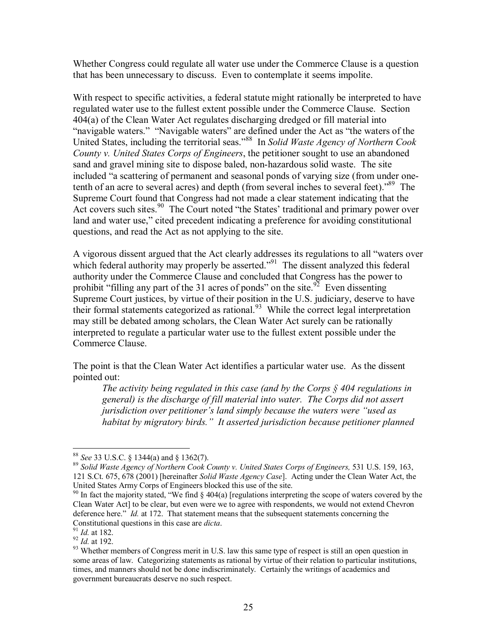Whether Congress could regulate all water use under the Commerce Clause is a question that has been unnecessary to discuss. Even to contemplate it seems impolite.

With respect to specific activities, a federal statute might rationally be interpreted to have regulated water use to the fullest extent possible under the Commerce Clause. Section 404(a) of the Clean Water Act regulates discharging dredged or fill material into "navigable waters." "Navigable waters" are defined under the Act as "the waters of the United States, including the territorial seas."88 In *Solid Waste Agency of Northern Cook County v. United States Corps of Engineers*, the petitioner sought to use an abandoned sand and gravel mining site to dispose baled, non-hazardous solid waste. The site included "a scattering of permanent and seasonal ponds of varying size (from under onetenth of an acre to several acres) and depth (from several inches to several feet).<sup>89</sup> The Supreme Court found that Congress had not made a clear statement indicating that the Act covers such sites.<sup>90</sup> The Court noted "the States' traditional and primary power over land and water use," cited precedent indicating a preference for avoiding constitutional questions, and read the Act as not applying to the site.

A vigorous dissent argued that the Act clearly addresses its regulations to all "waters over which federal authority may properly be asserted."<sup>91</sup> The dissent analyzed this federal authority under the Commerce Clause and concluded that Congress has the power to prohibit "filling any part of the 31 acres of ponds" on the site.<sup>92</sup> Even dissenting Supreme Court justices, by virtue of their position in the U.S. judiciary, deserve to have their formal statements categorized as rational.<sup>93</sup> While the correct legal interpretation may still be debated among scholars, the Clean Water Act surely can be rationally interpreted to regulate a particular water use to the fullest extent possible under the Commerce Clause.

The point is that the Clean Water Act identifies a particular water use. As the dissent pointed out:

*The activity being regulated in this case (and by the Corps § 404 regulations in general) is the discharge of fill material into water. The Corps did not assert jurisdiction over petitioner's land simply because the waters were "used as habitat by migratory birds." It asserted jurisdiction because petitioner planned* 

<sup>&</sup>lt;sup>88</sup> *See* 33 U.S.C. § 1344(a) and § 1362(7).<br><sup>89</sup> *Solid Waste Agency of Northern Cook County v. United States Corps of Engineers, 531 U.S. 159, 163,* 121 S.Ct. 675, 678 (2001) [hereinafter *Solid Waste Agency Case*]. Acting under the Clean Water Act, the United States Army Corps of Engineers blocked this use of the site.

<sup>&</sup>lt;sup>90</sup> In fact the majority stated, "We find § 404(a) [regulations interpreting the scope of waters covered by the Clean Water Act] to be clear, but even were we to agree with respondents, we would not extend Chevron deference here." *Id.* at 172. That statement means that the subsequent statements concerning the Constitutional questions in this case are *dicta*.<br><sup>91</sup> *Id.* at 182.<br><sup>92</sup> *Id.* at 192.<br><sup>93</sup> Whether members of Congress merit in U.S. law this same type of respect is still an open question in

some areas of law. Categorizing statements as rational by virtue of their relation to particular institutions, times, and manners should not be done indiscriminately. Certainly the writings of academics and government bureaucrats deserve no such respect.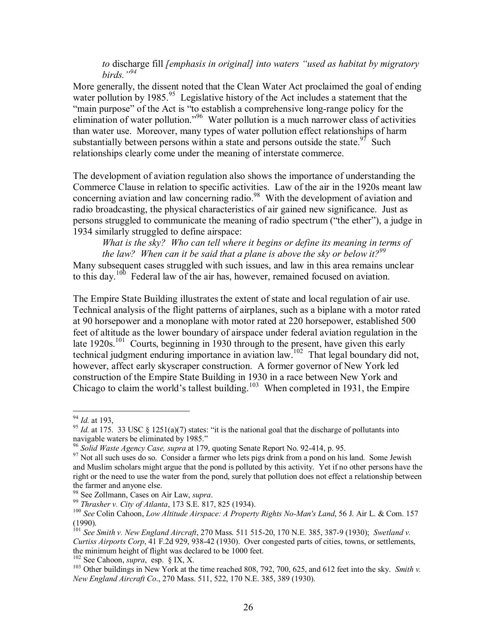*to* discharge fill *[emphasis in original] into waters "used as habitat by migratory birds."94* 

More generally, the dissent noted that the Clean Water Act proclaimed the goal of ending water pollution by 1985.<sup>95</sup> Legislative history of the Act includes a statement that the "main purpose" of the Act is "to establish a comprehensive long-range policy for the elimination of water pollution."<sup>96</sup> Water pollution is a much narrower class of activities than water use. Moreover, many types of water pollution effect relationships of harm substantially between persons within a state and persons outside the state.<sup>97</sup> Such relationships clearly come under the meaning of interstate commerce.

The development of aviation regulation also shows the importance of understanding the Commerce Clause in relation to specific activities. Law of the air in the 1920s meant law concerning aviation and law concerning radio.<sup>98</sup> With the development of aviation and radio broadcasting, the physical characteristics of air gained new significance. Just as persons struggled to communicate the meaning of radio spectrum ("the ether"), a judge in 1934 similarly struggled to define airspace:

*What is the sky? Who can tell where it begins or define its meaning in terms of the law? When can it be said that a plane is above the sky or below it?*<sup>99</sup>

Many subsequent cases struggled with such issues, and law in this area remains unclear to this day.<sup>100</sup> Federal law of the air has, however, remained focused on aviation.

The Empire State Building illustrates the extent of state and local regulation of air use. Technical analysis of the flight patterns of airplanes, such as a biplane with a motor rated at 90 horsepower and a monoplane with motor rated at 220 horsepower, established 500 feet of altitude as the lower boundary of airspace under federal aviation regulation in the late 1920s.<sup>101</sup> Courts, beginning in 1930 through to the present, have given this early technical judgment enduring importance in aviation law.<sup>102</sup> That legal boundary did not, however, affect early skyscraper construction. A former governor of New York led construction of the Empire State Building in 1930 in a race between New York and Chicago to claim the world's tallest building.<sup>103</sup> When completed in 1931, the Empire

 $94$  *Id.* at 193,

<sup>&</sup>lt;sup>95</sup> *Id.* at 175. 33 USC § 1251(a)(7) states: "it is the national goal that the discharge of pollutants into navigable waters be eliminated by 1985."

<sup>&</sup>lt;sup>96</sup> Solid Waste Agency Case, supra at 179, quoting Senate Report No. 92-414, p. 95.<br><sup>97</sup> Not all such uses do so. Consider a farmer who lets pigs drink from a pond on his land. Some Jewish and Muslim scholars might argue that the pond is polluted by this activity. Yet if no other persons have the right or the need to use the water from the pond, surely that pollution does not effect a relationship between the farmer and anyone else.<br><sup>98</sup> See Zollmann, Cases on Air Law, *supra*.

<sup>&</sup>lt;sup>99</sup> Thrasher v. City of Atlanta, 173 S.E. 817, 825 (1934).<br><sup>100</sup> See Colin Cahoon, *Low Altitude Airspace: A Property Rights No-Man's Land*, 56 J. Air L. & Com. 157 (1990).

<sup>101</sup> *See Smith v. New England Aircraft*, 270 Mass. 511 515-20, 170 N.E. 385, 387-9 (1930); *Swetland v. Curtiss Airports Corp*, 41 F.2d 929, 938-42 (1930). Over congested parts of cities, towns, or settlements, the minimum height of flight was declared to be 1000 feet.<br><sup>102</sup> See Cahoon, *supra*, esp. § IX, X.

<sup>&</sup>lt;sup>103</sup> Other buildings in New York at the time reached 808, 792, 700, 625, and 612 feet into the sky. *Smith v. New England Aircraft Co*., 270 Mass. 511, 522, 170 N.E. 385, 389 (1930).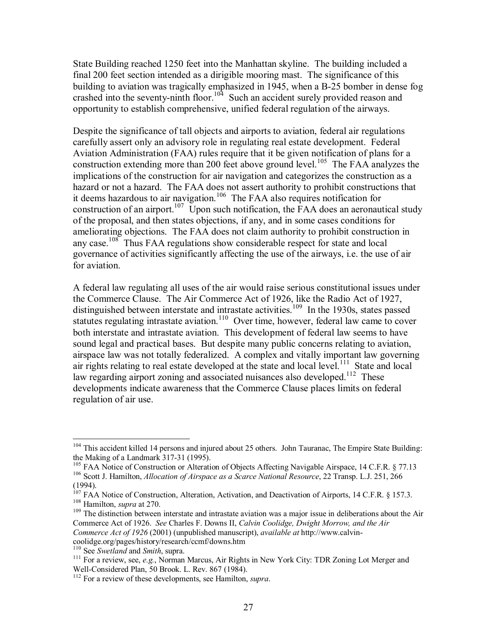State Building reached 1250 feet into the Manhattan skyline. The building included a final 200 feet section intended as a dirigible mooring mast. The significance of this building to aviation was tragically emphasized in 1945, when a B-25 bomber in dense fog crashed into the seventy-ninth floor.<sup>104</sup> Such an accident surely provided reason and opportunity to establish comprehensive, unified federal regulation of the airways.

Despite the significance of tall objects and airports to aviation, federal air regulations carefully assert only an advisory role in regulating real estate development. Federal Aviation Administration (FAA) rules require that it be given notification of plans for a construction extending more than 200 feet above ground level.<sup>105</sup> The FAA analyzes the implications of the construction for air navigation and categorizes the construction as a hazard or not a hazard. The FAA does not assert authority to prohibit constructions that it deems hazardous to air navigation.<sup>106</sup> The FAA also requires notification for construction of an airport.<sup>107</sup> Upon such notification, the FAA does an aeronautical study of the proposal, and then states objections, if any, and in some cases conditions for ameliorating objections. The FAA does not claim authority to prohibit construction in any case.<sup>108</sup> Thus FAA regulations show considerable respect for state and local governance of activities significantly affecting the use of the airways, i.e. the use of air for aviation.

A federal law regulating all uses of the air would raise serious constitutional issues under the Commerce Clause. The Air Commerce Act of 1926, like the Radio Act of 1927, distinguished between interstate and intrastate activities.<sup>109</sup> In the 1930s, states passed statutes regulating intrastate aviation.<sup>110</sup> Over time, however, federal law came to cover both interstate and intrastate aviation. This development of federal law seems to have sound legal and practical bases. But despite many public concerns relating to aviation, airspace law was not totally federalized. A complex and vitally important law governing air rights relating to real estate developed at the state and local level.<sup>111</sup> State and local law regarding airport zoning and associated nuisances also developed.<sup>112</sup> These developments indicate awareness that the Commerce Clause places limits on federal regulation of air use.

<sup>&</sup>lt;sup>104</sup> This accident killed 14 persons and injured about 25 others. John Tauranac, The Empire State Building: the Making of a Landmark 317-31 (1995).<br><sup>105</sup> FAA Notice of Construction or Alteration of Objects Affecting Navigable Airspace, 14 C.F.R. § 77.13

<sup>&</sup>lt;sup>106</sup> Scott J. Hamilton, *Allocation of Airspace as a Scarce National Resource*, 22 Transp. L.J. 251, 266

<sup>(1994).</sup> 

<sup>&</sup>lt;sup>107</sup> FAA Notice of Construction, Alteration, Activation, and Deactivation of Airports, 14 C.F.R. § 157.3.<br><sup>108</sup> Hamilton, *supra* at 270.<br><sup>109</sup> The distinction between interstate and intrastate aviation was a major issue

Commerce Act of 1926. *See* Charles F. Downs II, *Calvin Coolidge, Dwight Morrow, and the Air Commerce Act of 1926* (2001) (unpublished manuscript), *available at* http://www.calvin-

coolidge.org/pages/history/research/ccmf/downs.htm <sup>110</sup> See Swetland and Smith, supra.

<sup>&</sup>lt;sup>111</sup> For a review, see, *e.g.*, Norman Marcus, Air Rights in New York City: TDR Zoning Lot Merger and Well-Considered Plan, 50 Brook. L. Rev. 867 (1984).

<sup>112</sup> For a review of these developments, see Hamilton, *supra*.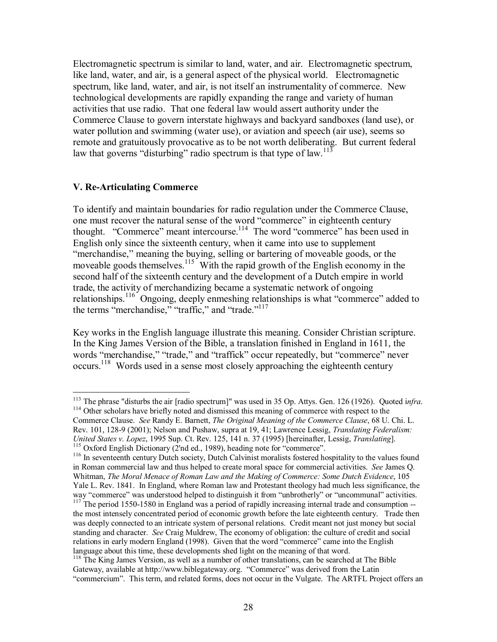Electromagnetic spectrum is similar to land, water, and air. Electromagnetic spectrum, like land, water, and air, is a general aspect of the physical world. Electromagnetic spectrum, like land, water, and air, is not itself an instrumentality of commerce. New technological developments are rapidly expanding the range and variety of human activities that use radio. That one federal law would assert authority under the Commerce Clause to govern interstate highways and backyard sandboxes (land use), or water pollution and swimming (water use), or aviation and speech (air use), seems so remote and gratuitously provocative as to be not worth deliberating. But current federal law that governs "disturbing" radio spectrum is that type of law. $113$ 

# **V. Re-Articulating Commerce**

 $\overline{a}$ 

To identify and maintain boundaries for radio regulation under the Commerce Clause, one must recover the natural sense of the word "commerce" in eighteenth century thought. "Commerce" meant intercourse.<sup>114</sup> The word "commerce" has been used in English only since the sixteenth century, when it came into use to supplement "merchandise," meaning the buying, selling or bartering of moveable goods, or the moveable goods themselves.<sup>115</sup> With the rapid growth of the English economy in the second half of the sixteenth century and the development of a Dutch empire in world trade, the activity of merchandizing became a systematic network of ongoing relationships.116 Ongoing, deeply enmeshing relationships is what "commerce" added to the terms "merchandise," "traffic," and "trade."<sup>117</sup>

Key works in the English language illustrate this meaning. Consider Christian scripture. In the King James Version of the Bible, a translation finished in England in 1611, the words "merchandise," "trade," and "traffick" occur repeatedly, but "commerce" never occurs.<sup>118</sup> Words used in a sense most closely approaching the eighteenth century

<sup>&</sup>lt;sup>113</sup> The phrase "disturbs the air [radio spectrum]" was used in 35 Op. Attys. Gen. 126 (1926). Quoted infra. <sup>114</sup> Other scholars have briefly noted and dismissed this meaning of commerce with respect to the Commerce Clause. *See* Randy E. Barnett, *The Original Meaning of the Commerce Clause*, 68 U. Chi. L. Rev. 101, 128-9 (2001); Nelson and Pushaw, supra at 19, 41; Lawrence Lessig, *Translating Federalism:* 

United States v. Lopez, 1995 Sup. Ct. Rev. 125, 141 n. 37 (1995) [hereinafter, Lessig, *Translating*].<br><sup>115</sup> Oxford English Dictionary (2'nd ed., 1989), heading note for "commerce".<br><sup>116</sup> In seventeenth century Dutch socie in Roman commercial law and thus helped to create moral space for commercial activities. *See* James Q. Whitman, *The Moral Menace of Roman Law and the Making of Commerce: Some Dutch Evidence*, 105 Yale L. Rev. 1841. In England, where Roman law and Protestant theology had much less significance, the way "commerce" was understood helped to distinguish it from "unbrotherly" or "uncommunal" activities. <sup>117</sup> The period 1550-1580 in England was a period of rapidly increasing internal trade and consumption -the most intensely concentrated period of economic growth before the late eighteenth century. Trade then was deeply connected to an intricate system of personal relations. Credit meant not just money but social

standing and character. *See* Craig Muldrew, The economy of obligation: the culture of credit and social relations in early modern England (1998). Given that the word "commerce" came into the English language about this time, these developments shed light on the meaning of that word.

<sup>&</sup>lt;sup>118</sup> The King James Version, as well as a number of other translations, can be searched at The Bible Gateway, available at http://www.biblegateway.org. "Commerce" was derived from the Latin "commercium". This term, and related forms, does not occur in the Vulgate. The ARTFL Project offers an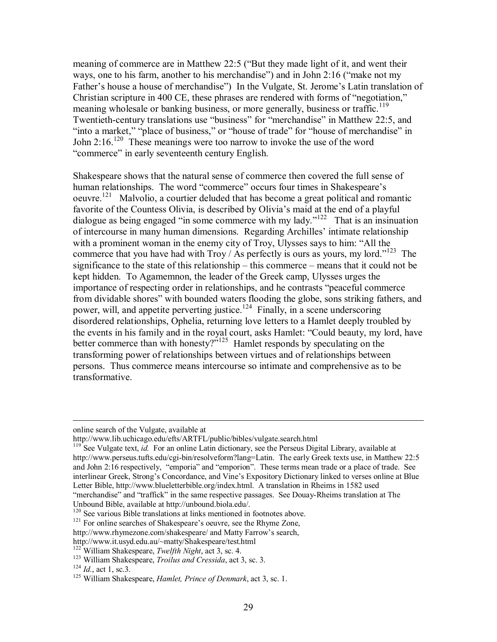meaning of commerce are in Matthew 22:5 ("But they made light of it, and went their ways, one to his farm, another to his merchandise") and in John 2:16 ("make not my Father's house a house of merchandise") In the Vulgate, St. Jerome's Latin translation of Christian scripture in 400 CE, these phrases are rendered with forms of "negotiation," meaning wholesale or banking business, or more generally, business or traffic.<sup>119</sup> Twentieth-century translations use "business" for "merchandise" in Matthew 22:5, and "into a market," "place of business," or "house of trade" for "house of merchandise" in John  $2:16<sup>120</sup>$  These meanings were too narrow to invoke the use of the word "commerce" in early seventeenth century English.

Shakespeare shows that the natural sense of commerce then covered the full sense of human relationships. The word "commerce" occurs four times in Shakespeare's oeuvre.121 Malvolio, a courtier deluded that has become a great political and romantic favorite of the Countess Olivia, is described by Olivia's maid at the end of a playful dialogue as being engaged "in some commerce with my lady."<sup>122</sup> That is an insinuation of intercourse in many human dimensions. Regarding Archilles' intimate relationship with a prominent woman in the enemy city of Troy, Ulysses says to him: "All the commerce that you have had with Troy / As perfectly is ours as yours, my lord."<sup>123</sup> The significance to the state of this relationship – this commerce – means that it could not be kept hidden. To Agamemnon, the leader of the Greek camp, Ulysses urges the importance of respecting order in relationships, and he contrasts "peaceful commerce from dividable shores" with bounded waters flooding the globe, sons striking fathers, and power, will, and appetite perverting justice.<sup>124</sup> Finally, in a scene underscoring disordered relationships, Ophelia, returning love letters to a Hamlet deeply troubled by the events in his family and in the royal court, asks Hamlet: "Could beauty, my lord, have better commerce than with honesty?"<sup>125</sup> Hamlet responds by speculating on the transforming power of relationships between virtues and of relationships between persons. Thus commerce means intercourse so intimate and comprehensive as to be transformative.

online search of the Vulgate, available at

http://www.lib.uchicago.edu/efts/ARTFL/public/bibles/vulgate.search.html

<sup>&</sup>lt;sup>119</sup> See Vulgate text, *id.* For an online Latin dictionary, see the Perseus Digital Library, available at http://www.perseus.tufts.edu/cgi-bin/resolveform?lang=Latin. The early Greek texts use, in Matthew 22:5 and John 2:16 respectively, "emporia" and "emporion". These terms mean trade or a place of trade. See interlinear Greek, Strong's Concordance, and Vine's Expository Dictionary linked to verses online at Blue Letter Bible, http://www.blueletterbible.org/index.html. A translation in Rheims in 1582 used "merchandise" and "traffick" in the same respective passages. See Douay-Rheims translation at The

Unbound Bible, available at http://unbound.biola.edu/.

<sup>&</sup>lt;sup>121</sup> For online searches of Shakespeare's oeuvre, see the Rhyme Zone,

http://www.rhymezone.com/shakespeare/ and Matty Farrow's search,

http://www.it.usyd.edu.au/~matty/Shakespeare/test.html<br><sup>122</sup> William Shakespeare, *Twelfth Night*, act 3, sc. 4.

<sup>&</sup>lt;sup>123</sup> William Shakespeare, *Troilus and Cressida*, act 3, sc. 3.<br><sup>124</sup> *Id.*, act 1, sc. 3.<br><sup>125</sup> William Shakespeare, *Hamlet, Prince of Denmark*, act 3, sc. 1.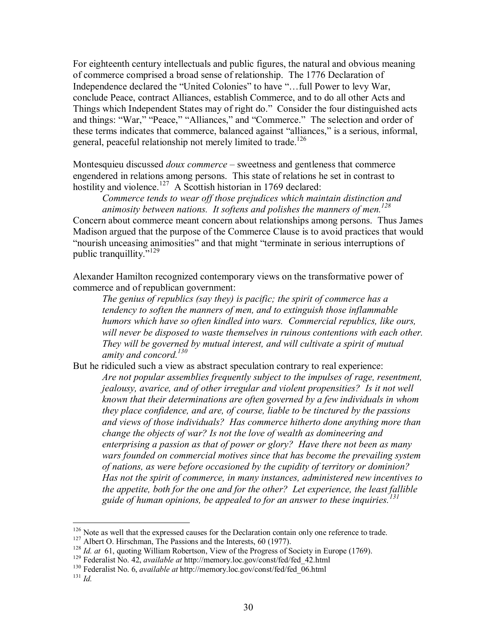For eighteenth century intellectuals and public figures, the natural and obvious meaning of commerce comprised a broad sense of relationship. The 1776 Declaration of Independence declared the "United Colonies" to have "...full Power to levy War, conclude Peace, contract Alliances, establish Commerce, and to do all other Acts and Things which Independent States may of right do." Consider the four distinguished acts and things: "War," "Peace," "Alliances," and "Commerce." The selection and order of these terms indicates that commerce, balanced against "alliances," is a serious, informal, general, peaceful relationship not merely limited to trade.<sup>126</sup>

Montesquieu discussed *doux commerce* – sweetness and gentleness that commerce engendered in relations among persons. This state of relations he set in contrast to hostility and violence.<sup>127</sup> A Scottish historian in 1769 declared:

*Commerce tends to wear off those prejudices which maintain distinction and animosity between nations. It softens and polishes the manners of men.128*

Concern about commerce meant concern about relationships among persons. Thus James Madison argued that the purpose of the Commerce Clause is to avoid practices that would "nourish unceasing animosities" and that might "terminate in serious interruptions of public tranquillity."<sup>129</sup>

Alexander Hamilton recognized contemporary views on the transformative power of commerce and of republican government:

*The genius of republics (say they) is pacific; the spirit of commerce has a tendency to soften the manners of men, and to extinguish those inflammable humors which have so often kindled into wars. Commercial republics, like ours, will never be disposed to waste themselves in ruinous contentions with each other. They will be governed by mutual interest, and will cultivate a spirit of mutual amity and concord.130*

But he ridiculed such a view as abstract speculation contrary to real experience:

*Are not popular assemblies frequently subject to the impulses of rage, resentment, jealousy, avarice, and of other irregular and violent propensities? Is it not well known that their determinations are often governed by a few individuals in whom they place confidence, and are, of course, liable to be tinctured by the passions and views of those individuals? Has commerce hitherto done anything more than change the objects of war? Is not the love of wealth as domineering and enterprising a passion as that of power or glory? Have there not been as many wars founded on commercial motives since that has become the prevailing system of nations, as were before occasioned by the cupidity of territory or dominion? Has not the spirit of commerce, in many instances, administered new incentives to the appetite, both for the one and for the other? Let experience, the least fallible guide of human opinions, be appealed to for an answer to these inquiries.<sup>131</sup>*

<sup>&</sup>lt;sup>126</sup> Note as well that the expressed causes for the Declaration contain only one reference to trade.

<sup>&</sup>lt;sup>127</sup> Albert O. Hirschman, The Passions and the Interests, 60 (1977).<br><sup>128</sup> *Id. at* 61, quoting William Robertson, View of the Progress of Society in Europe (1769).<br><sup>129</sup> Federalist No. 42, *available at* http://memory.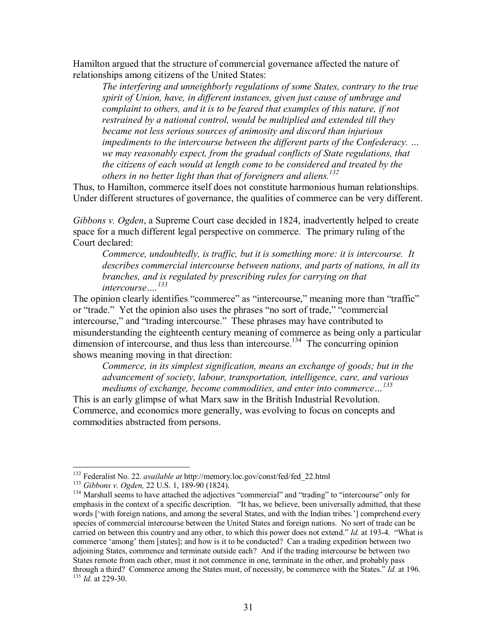Hamilton argued that the structure of commercial governance affected the nature of relationships among citizens of the United States:

*The interfering and unneighborly regulations of some States, contrary to the true spirit of Union, have, in different instances, given just cause of umbrage and complaint to others, and it is to be feared that examples of this nature, if not restrained by a national control, would be multiplied and extended till they became not less serious sources of animosity and discord than injurious impediments to the intercourse between the different parts of the Confederacy. … we may reasonably expect, from the gradual conflicts of State regulations, that the citizens of each would at length come to be considered and treated by the others in no better light than that of foreigners and aliens.132*

Thus, to Hamilton, commerce itself does not constitute harmonious human relationships. Under different structures of governance, the qualities of commerce can be very different.

*Gibbons v. Ogden*, a Supreme Court case decided in 1824, inadvertently helped to create space for a much different legal perspective on commerce. The primary ruling of the Court declared:

*Commerce, undoubtedly, is traffic, but it is something more: it is intercourse. It describes commercial intercourse between nations, and parts of nations, in all its branches, and is regulated by prescribing rules for carrying on that intercourse….<sup>133</sup>*

The opinion clearly identifies "commerce" as "intercourse," meaning more than "traffic" or "trade." Yet the opinion also uses the phrases "no sort of trade," "commercial intercourse," and "trading intercourse." These phrases may have contributed to misunderstanding the eighteenth century meaning of commerce as being only a particular dimension of intercourse, and thus less than intercourse.<sup>134</sup> The concurring opinion shows meaning moving in that direction:

*Commerce, in its simplest signification, means an exchange of goods; but in the advancement of society, labour, transportation, intelligence, care, and various mediums of exchange, become commodities, and enter into commerce…<sup>135</sup>*

This is an early glimpse of what Marx saw in the British Industrial Revolution. Commerce, and economics more generally, was evolving to focus on concepts and commodities abstracted from persons.

<sup>&</sup>lt;sup>132</sup> Federalist No. 22. available at http://memory.loc.gov/const/fed/fed\_22.html

 $^{133}$  Gibbons v. Ogden, 22 U.S. 1, 189-90 (1824). emphasis in the context of a specific description. "It has, we believe, been universally admitted, that these words ['with foreign nations, and among the several States, and with the Indian tribes.'] comprehend every species of commercial intercourse between the United States and foreign nations. No sort of trade can be carried on between this country and any other, to which this power does not extend." *Id.* at 193-4. "What is commerce 'among' them [states]; and how is it to be conducted? Can a trading expedition between two adjoining States, commence and terminate outside each? And if the trading intercourse be between two States remote from each other, must it not commence in one, terminate in the other, and probably pass through a third? Commerce among the States must, of necessity, be commerce with the States." *Id.* at 196. 135 *Id.* at 229-30.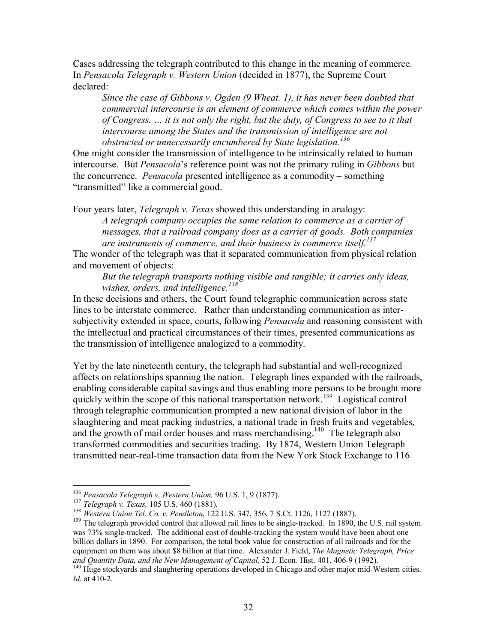Cases addressing the telegraph contributed to this change in the meaning of commerce. In *Pensacola Telegraph v. Western Union* (decided in 1877), the Supreme Court declared:

*Since the case of Gibbons v. Ogden (9 Wheat. 1), it has never been doubted that commercial intercourse is an element of commerce which comes within the power of Congress. … it is not only the right, but the duty, of Congress to see to it that intercourse among the States and the transmission of intelligence are not obstructed or unnecessarily encumbered by State legislation.136* 

One might consider the transmission of intelligence to be intrinsically related to human intercourse. But *Pensacola*'s reference point was not the primary ruling in *Gibbons* but the concurrence. *Pensacola* presented intelligence as a commodity – something "transmitted" like a commercial good.

Four years later, *Telegraph v. Texas* showed this understanding in analogy:

*A telegraph company occupies the same relation to commerce as a carrier of messages, that a railroad company does as a carrier of goods. Both companies are instruments of commerce, and their business is commerce itself.137*

The wonder of the telegraph was that it separated communication from physical relation and movement of objects:

*But the telegraph transports nothing visible and tangible; it carries only ideas,*  wishes, orders, and intelligence.<sup>138</sup>

In these decisions and others, the Court found telegraphic communication across state lines to be interstate commerce. Rather than understanding communication as intersubjectivity extended in space, courts, following *Pensacola* and reasoning consistent with the intellectual and practical circumstances of their times, presented communications as the transmission of intelligence analogized to a commodity.

Yet by the late nineteenth century, the telegraph had substantial and well-recognized affects on relationships spanning the nation. Telegraph lines expanded with the railroads, enabling considerable capital savings and thus enabling more persons to be brought more quickly within the scope of this national transportation network.<sup>139</sup> Logistical control through telegraphic communication prompted a new national division of labor in the slaughtering and meat packing industries, a national trade in fresh fruits and vegetables, and the growth of mail order houses and mass merchandising.<sup>140</sup> The telegraph also transformed commodities and securities trading. By 1874, Western Union Telegraph transmitted near-real-time transaction data from the New York Stock Exchange to 116

<sup>&</sup>lt;sup>136</sup> Pensacola Telegraph v. Western Union, 96 U.S. 1, 9 (1877).

<sup>&</sup>lt;sup>137</sup> Telegraph v. Texas, 105 U.S. 460 (1881).<br><sup>138</sup> Western Union Tel. Co. v. Pendleton, 122 U.S. 347, 356, 7 S.Ct. 1126, 1127 (1887).<br><sup>139</sup> The telegraph provided control that allowed rail lines to be single-tracked. In was 73% single-tracked. The additional cost of double-tracking the system would have been about one billion dollars in 1890. For comparison, the total book value for construction of all railroads and for the equipment on them was about \$8 billion at that time. Alexander J. Field, *The Magnetic Telegraph, Price and Quantity Data, and the New Management of Capital, 52 J. Econ. Hist. 401, 406-9 (1992).* 

<sup>&</sup>lt;sup>140</sup> Huge stockvards and slaughtering operations developed in Chicago and other major mid-Western cities. *Id.* at 410-2.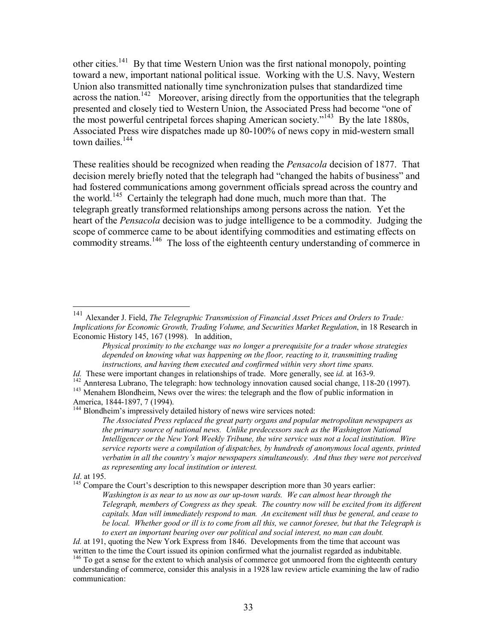other cities.141 By that time Western Union was the first national monopoly, pointing toward a new, important national political issue. Working with the U.S. Navy, Western Union also transmitted nationally time synchronization pulses that standardized time across the nation.<sup>142</sup> Moreover, arising directly from the opportunities that the telegraph presented and closely tied to Western Union, the Associated Press had become "one of the most powerful centripetal forces shaping American society."143 By the late 1880s, Associated Press wire dispatches made up 80-100% of news copy in mid-western small town dailies. $144$ 

These realities should be recognized when reading the *Pensacola* decision of 1877. That decision merely briefly noted that the telegraph had "changed the habits of business" and had fostered communications among government officials spread across the country and the world.<sup>145</sup> Certainly the telegraph had done much, much more than that. The telegraph greatly transformed relationships among persons across the nation. Yet the heart of the *Pensacola* decision was to judge intelligence to be a commodity. Judging the scope of commerce came to be about identifying commodities and estimating effects on commodity streams.<sup>146</sup> The loss of the eighteenth century understanding of commerce in

1

*Id.* at 195.<br><sup>145</sup> Compare the Court's description to this newspaper description more than 30 years earlier:

*Id.* at 191, quoting the New York Express from 1846. Developments from the time that account was written to the time the Court issued its opinion confirmed what the journalist regarded as indubitable.

<sup>146</sup> To get a sense for the extent to which analysis of commerce got unmoored from the eighteenth century understanding of commerce, consider this analysis in a 1928 law review article examining the law of radio communication:

<sup>141</sup> Alexander J. Field, *The Telegraphic Transmission of Financial Asset Prices and Orders to Trade: Implications for Economic Growth, Trading Volume, and Securities Market Regulation*, in 18 Research in Economic History 145, 167 (1998). In addition,

*Physical proximity to the exchange was no longer a prerequisite for a trader whose strategies depended on knowing what was happening on the floor, reacting to it, transmitting trading* 

*instructions, and having them executed and confirmed within very short time spans. Id.* These were important changes in relationships of trade. More generally, see *id.* at 163-9.

 $142$  Annteresa Lubrano, The telegraph: how technology innovation caused social change, 118-20 (1997).<br><sup>143</sup> Menahem Blondheim, News over the wires: the telegraph and the flow of public information in America, 1844-1897, 7 (1994).

<sup>&</sup>lt;sup>144</sup> Blondheim's impressively detailed history of news wire services noted:

*The Associated Press replaced the great party organs and popular metropolitan newspapers as the primary source of national news. Unlike predecessors such as the Washington National Intelligencer or the New York Weekly Tribune, the wire service was not a local institution. Wire service reports were a compilation of dispatches, by hundreds of anonymous local agents, printed verbatim in all the country's major newspapers simultaneously. And thus they were not perceived as representing any local institution or interest.* 

*Washington is as near to us now as our up-town wards. We can almost hear through the Telegraph, members of Congress as they speak. The country now will be excited from its different capitals. Man will immediately respond to man. An excitement will thus be general, and cease to be local. Whether good or ill is to come from all this, we cannot foresee, but that the Telegraph is to exert an important bearing over our political and social interest, no man can doubt.*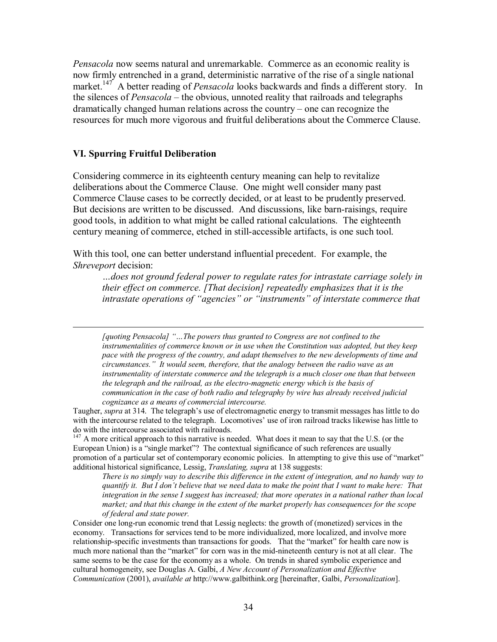*Pensacola* now seems natural and unremarkable. Commerce as an economic reality is now firmly entrenched in a grand, deterministic narrative of the rise of a single national market.<sup>147</sup> A better reading of *Pensacola* looks backwards and finds a different story. In the silences of *Pensacola* – the obvious, unnoted reality that railroads and telegraphs dramatically changed human relations across the country – one can recognize the resources for much more vigorous and fruitful deliberations about the Commerce Clause.

#### **VI. Spurring Fruitful Deliberation**

 $\overline{a}$ 

Considering commerce in its eighteenth century meaning can help to revitalize deliberations about the Commerce Clause. One might well consider many past Commerce Clause cases to be correctly decided, or at least to be prudently preserved. But decisions are written to be discussed. And discussions, like barn-raisings, require good tools, in addition to what might be called rational calculations. The eighteenth century meaning of commerce, etched in still-accessible artifacts, is one such tool.

With this tool, one can better understand influential precedent. For example, the *Shreveport* decision:

*…does not ground federal power to regulate rates for intrastate carriage solely in their effect on commerce. [That decision] repeatedly emphasizes that it is the intrastate operations of "agencies" or "instruments" of interstate commerce that* 

*[quoting Pensacola] "…The powers thus granted to Congress are not confined to the instrumentalities of commerce known or in use when the Constitution was adopted, but they keep pace with the progress of the country, and adapt themselves to the new developments of time and circumstances." It would seem, therefore, that the analogy between the radio wave as an instrumentality of interstate commerce and the telegraph is a much closer one than that between the telegraph and the railroad, as the electro-magnetic energy which is the basis of communication in the case of both radio and telegraphy by wire has already received judicial cognizance as a means of commercial intercourse.* 

Taugher, *supra* at 314. The telegraph's use of electromagnetic energy to transmit messages has little to do with the intercourse related to the telegraph. Locomotives' use of iron railroad tracks likewise has little to do with the intercourse associated with railroads.

 $147$  A more critical approach to this narrative is needed. What does it mean to say that the U.S. (or the European Union) is a "single market"? The contextual significance of such references are usually promotion of a particular set of contemporary economic policies. In attempting to give this use of "market" additional historical significance, Lessig, *Translating, supra* at 138 suggests:

*There is no simply way to describe this difference in the extent of integration, and no handy way to quantify it. But I don't believe that we need data to make the point that I want to make here: That integration in the sense I suggest has increased; that more operates in a national rather than local market; and that this change in the extent of the market properly has consequences for the scope of federal and state power.* 

Consider one long-run economic trend that Lessig neglects: the growth of (monetized) services in the economy. Transactions for services tend to be more individualized, more localized, and involve more relationship-specific investments than transactions for goods. That the "market" for health care now is much more national than the "market" for corn was in the mid-nineteenth century is not at all clear. The same seems to be the case for the economy as a whole. On trends in shared symbolic experience and cultural homogeneity, see Douglas A. Galbi, *A New Account of Personalization and Effective Communication* (2001), *available at* http://www.galbithink.org [hereinafter, Galbi, *Personalization*].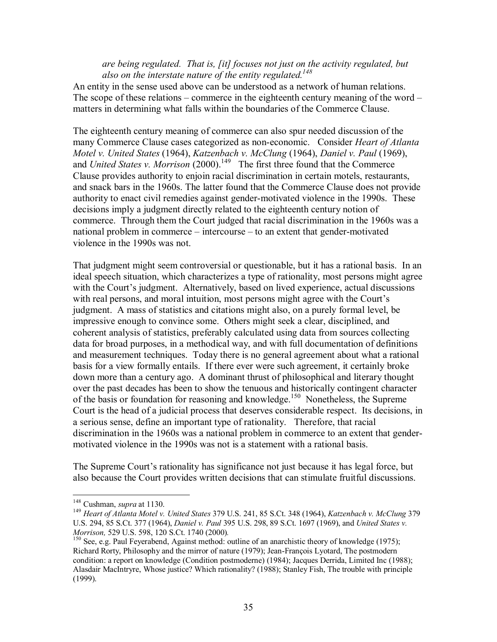### *are being regulated. That is, [it] focuses not just on the activity regulated, but also on the interstate nature of the entity regulated.148*

An entity in the sense used above can be understood as a network of human relations. The scope of these relations – commerce in the eighteenth century meaning of the word – matters in determining what falls within the boundaries of the Commerce Clause.

The eighteenth century meaning of commerce can also spur needed discussion of the many Commerce Clause cases categorized as non-economic. Consider *Heart of Atlanta Motel v. United States* (1964), *Katzenbach v. McClung* (1964), *Daniel v. Paul* (1969), and *United States v. Morrison* (2000).<sup>149</sup> The first three found that the Commerce Clause provides authority to enjoin racial discrimination in certain motels, restaurants, and snack bars in the 1960s. The latter found that the Commerce Clause does not provide authority to enact civil remedies against gender-motivated violence in the 1990s. These decisions imply a judgment directly related to the eighteenth century notion of commerce. Through them the Court judged that racial discrimination in the 1960s was a national problem in commerce – intercourse – to an extent that gender-motivated violence in the 1990s was not.

That judgment might seem controversial or questionable, but it has a rational basis. In an ideal speech situation, which characterizes a type of rationality, most persons might agree with the Court's judgment. Alternatively, based on lived experience, actual discussions with real persons, and moral intuition, most persons might agree with the Court's judgment. A mass of statistics and citations might also, on a purely formal level, be impressive enough to convince some. Others might seek a clear, disciplined, and coherent analysis of statistics, preferably calculated using data from sources collecting data for broad purposes, in a methodical way, and with full documentation of definitions and measurement techniques. Today there is no general agreement about what a rational basis for a view formally entails. If there ever were such agreement, it certainly broke down more than a century ago. A dominant thrust of philosophical and literary thought over the past decades has been to show the tenuous and historically contingent character of the basis or foundation for reasoning and knowledge.150 Nonetheless, the Supreme Court is the head of a judicial process that deserves considerable respect. Its decisions, in a serious sense, define an important type of rationality. Therefore, that racial discrimination in the 1960s was a national problem in commerce to an extent that gendermotivated violence in the 1990s was not is a statement with a rational basis.

The Supreme Court's rationality has significance not just because it has legal force, but also because the Court provides written decisions that can stimulate fruitful discussions.

<sup>&</sup>lt;sup>148</sup> Cushman, *supra* at 1130.

<sup>&</sup>lt;sup>149</sup> Heart of Atlanta Motel v. United States 379 U.S. 241, 85 S.Ct. 348 (1964), *Katzenbach v. McClung* 379 U.S. 294, 85 S.Ct. 377 (1964), *Daniel v. Paul* 395 U.S. 298, 89 S.Ct. 1697 (1969), and *United States v.* 

<sup>&</sup>lt;sup>150</sup> See, e.g. Paul Feyerabend, Against method: outline of an anarchistic theory of knowledge (1975); Richard Rorty, Philosophy and the mirror of nature (1979); Jean-François Lyotard, The postmodern condition: a report on knowledge (Condition postmoderne) (1984); Jacques Derrida, Limited Inc (1988); Alasdair MacIntryre, Whose justice? Which rationality? (1988); Stanley Fish, The trouble with principle (1999).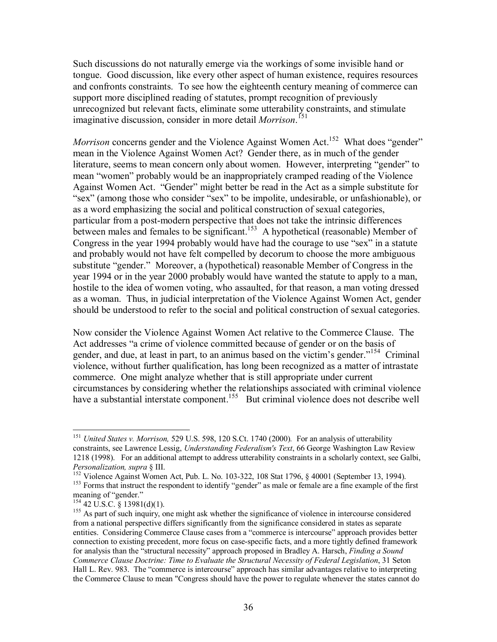Such discussions do not naturally emerge via the workings of some invisible hand or tongue. Good discussion, like every other aspect of human existence, requires resources and confronts constraints. To see how the eighteenth century meaning of commerce can support more disciplined reading of statutes, prompt recognition of previously unrecognized but relevant facts, eliminate some utterability constraints, and stimulate imaginative discussion, consider in more detail *Morrison*. 151

*Morrison* concerns gender and the Violence Against Women Act.<sup>152</sup> What does "gender" mean in the Violence Against Women Act? Gender there, as in much of the gender literature, seems to mean concern only about women. However, interpreting "gender" to mean "women" probably would be an inappropriately cramped reading of the Violence Against Women Act. "Gender" might better be read in the Act as a simple substitute for "sex" (among those who consider "sex" to be impolite, undesirable, or unfashionable), or as a word emphasizing the social and political construction of sexual categories, particular from a post-modern perspective that does not take the intrinsic differences between males and females to be significant.<sup>153</sup> A hypothetical (reasonable) Member of Congress in the year 1994 probably would have had the courage to use "sex" in a statute and probably would not have felt compelled by decorum to choose the more ambiguous substitute "gender." Moreover, a (hypothetical) reasonable Member of Congress in the year 1994 or in the year 2000 probably would have wanted the statute to apply to a man, hostile to the idea of women voting, who assaulted, for that reason, a man voting dressed as a woman. Thus, in judicial interpretation of the Violence Against Women Act, gender should be understood to refer to the social and political construction of sexual categories.

Now consider the Violence Against Women Act relative to the Commerce Clause. The Act addresses "a crime of violence committed because of gender or on the basis of gender, and due, at least in part, to an animus based on the victim's gender."<sup>154</sup> Criminal violence, without further qualification, has long been recognized as a matter of intrastate commerce. One might analyze whether that is still appropriate under current circumstances by considering whether the relationships associated with criminal violence have a substantial interstate component.<sup>155</sup> But criminal violence does not describe well

 $\overline{a}$ <sup>151</sup> *United States v. Morrison,* 529 U.S. 598, 120 S.Ct. 1740 (2000)*.* For an analysis of utterability constraints, see Lawrence Lessig, *Understanding Federalism's Text*, 66 George Washington Law Review 1218 (1998). For an additional attempt to address utterability constraints in a scholarly context, see Galbi,

*Personalization, supra* § III.<br><sup>152</sup> Violence Against Women Act, Pub. L. No. 103-322, 108 Stat 1796, § 40001 (September 13, 1994).<br><sup>153</sup> Forms that instruct the respondent to identify "gender" as male or female are a fine meaning of "gender."<br> $^{154}$  42 U.S.C. § 13981(d)(1).

 $155$  As part of such inquiry, one might ask whether the significance of violence in intercourse considered from a national perspective differs significantly from the significance considered in states as separate entities. Considering Commerce Clause cases from a "commerce is intercourse" approach provides better connection to existing precedent, more focus on case-specific facts, and a more tightly defined framework for analysis than the "structural necessity" approach proposed in Bradley A. Harsch, *Finding a Sound Commerce Clause Doctrine: Time to Evaluate the Structural Necessity of Federal Legislation*, 31 Seton Hall L. Rev. 983. The "commerce is intercourse" approach has similar advantages relative to interpreting the Commerce Clause to mean "Congress should have the power to regulate whenever the states cannot do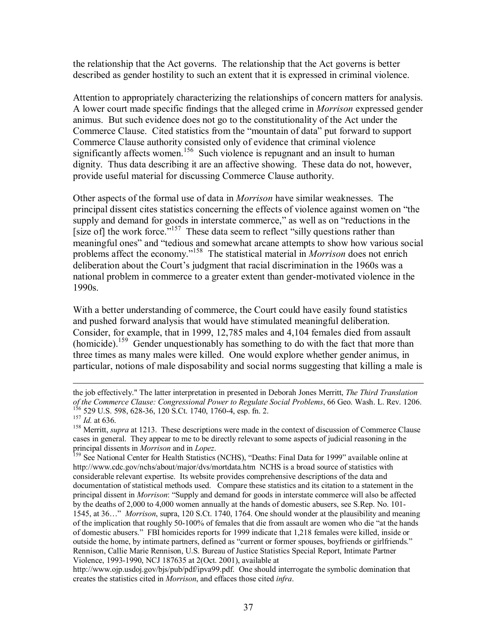the relationship that the Act governs. The relationship that the Act governs is better described as gender hostility to such an extent that it is expressed in criminal violence.

Attention to appropriately characterizing the relationships of concern matters for analysis. A lower court made specific findings that the alleged crime in *Morrison* expressed gender animus. But such evidence does not go to the constitutionality of the Act under the Commerce Clause. Cited statistics from the "mountain of data" put forward to support Commerce Clause authority consisted only of evidence that criminal violence significantly affects women.<sup>156</sup> Such violence is repugnant and an insult to human dignity. Thus data describing it are an affective showing. These data do not, however, provide useful material for discussing Commerce Clause authority.

Other aspects of the formal use of data in *Morrison* have similar weaknesses. The principal dissent cites statistics concerning the effects of violence against women on "the supply and demand for goods in interstate commerce," as well as on "reductions in the [size of] the work force.<sup>"157</sup> These data seem to reflect "silly questions rather than meaningful ones" and "tedious and somewhat arcane attempts to show how various social problems affect the economy."158 The statistical material in *Morrison* does not enrich deliberation about the Court's judgment that racial discrimination in the 1960s was a national problem in commerce to a greater extent than gender-motivated violence in the 1990s.

With a better understanding of commerce, the Court could have easily found statistics and pushed forward analysis that would have stimulated meaningful deliberation. Consider, for example, that in 1999, 12,785 males and 4,104 females died from assault (homicide).<sup>159</sup> Gender unquestionably has something to do with the fact that more than three times as many males were killed. One would explore whether gender animus, in particular, notions of male disposability and social norms suggesting that killing a male is

http://www.ojp.usdoj.gov/bjs/pub/pdf/ipva99.pdf. One should interrogate the symbolic domination that creates the statistics cited in *Morrison*, and effaces those cited *infra*.

the job effectively." The latter interpretation in presented in Deborah Jones Merritt, *The Third Translation*  <sup>156</sup> 529 U.S. 598, 628-36, 120 S.Ct. 1740, 1760-4, esp. fn. 2.<br><sup>157</sup> *Id.* at 636.<br><sup>158</sup> Merritt, *supra* at 1213. These descriptions were made in the context of discussion of Commerce Clause

cases in general. They appear to me to be directly relevant to some aspects of judicial reasoning in the principal dissents in *Morrison* and in *Lopez*.

<sup>&</sup>lt;sup>159</sup> See National Center for Health Statistics (NCHS), "Deaths: Final Data for 1999" available online at http://www.cdc.gov/nchs/about/major/dvs/mortdata.htm NCHS is a broad source of statistics with considerable relevant expertise. Its website provides comprehensive descriptions of the data and documentation of statistical methods used. Compare these statistics and its citation to a statement in the principal dissent in *Morrison*: "Supply and demand for goods in interstate commerce will also be affected by the deaths of 2,000 to 4,000 women annually at the hands of domestic abusers, see S.Rep. No. 101- 1545, at 36…" *Morrison*, supra, 120 S.Ct. 1740, 1764. One should wonder at the plausibility and meaning of the implication that roughly 50-100% of females that die from assault are women who die "at the hands of domestic abusers." FBI homicides reports for 1999 indicate that 1,218 females were killed, inside or outside the home, by intimate partners, defined as "current or former spouses, boyfriends or girlfriends." Rennison, Callie Marie Rennison, U.S. Bureau of Justice Statistics Special Report, Intimate Partner Violence, 1993-1990, NCJ 187635 at 2(Oct. 2001), available at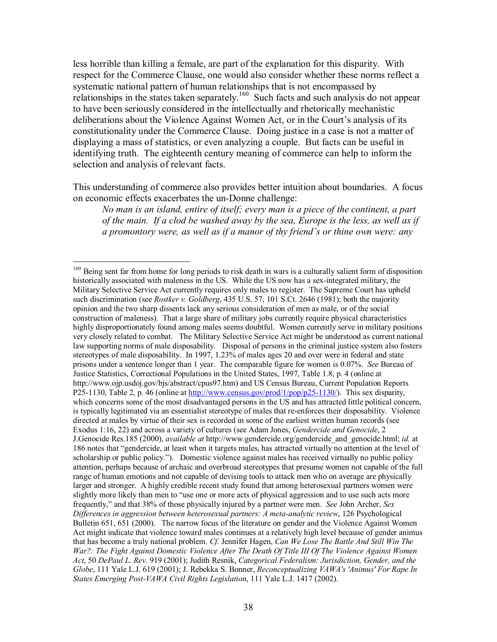less horrible than killing a female, are part of the explanation for this disparity. With respect for the Commerce Clause, one would also consider whether these norms reflect a systematic national pattern of human relationships that is not encompassed by relationships in the states taken separately.<sup>160</sup> Such facts and such analysis do not appear to have been seriously considered in the intellectually and rhetorically mechanistic deliberations about the Violence Against Women Act, or in the Court's analysis of its constitutionality under the Commerce Clause. Doing justice in a case is not a matter of displaying a mass of statistics, or even analyzing a couple. But facts can be useful in identifying truth. The eighteenth century meaning of commerce can help to inform the selection and analysis of relevant facts.

This understanding of commerce also provides better intuition about boundaries. A focus on economic effects exacerbates the un-Donne challenge:

*No man is an island, entire of itself; every man is a piece of the continent, a part of the main. If a clod be washed away by the sea, Europe is the less, as well as if a promontory were, as well as if a manor of thy friend's or thine own were: any* 

 $\overline{a}$ <sup>160</sup> Being sent far from home for long periods to risk death in wars is a culturally salient form of disposition historically associated with maleness in the US. While the US now has a sex-integrated military, the Military Selective Service Act currently requires only males to register. The Supreme Court has upheld such discrimination (see *Rostker v. Goldberg*, 435 U.S. 57, 101 S.Ct. 2646 (1981); both the majority opinion and the two sharp dissents lack any serious consideration of men as male, or of the social construction of maleness). That a large share of military jobs currently require physical characteristics highly disproportionately found among males seems doubtful. Women currently serve in military positions very closely related to combat. The Military Selective Service Act might be understood as current national law supporting norms of male disposability. Disposal of persons in the criminal justice system also fosters stereotypes of male disposability. In 1997, 1.23% of males ages 20 and over were in federal and state prisons under a sentence longer than 1 year. The comparable figure for women is 0.07%. *See* Bureau of Justice Statistics, Correctional Populations in the United States, 1997, Table 1.8, p. 4 (online at http://www.ojp.usdoj.gov/bjs/abstract/cpus97.htm) and US Census Bureau, Current Population Reports P25-1130, Table 2, p. 46 (online at http://www.census.gov/prod/1/pop/p25-1130/). This sex disparity, which concerns some of the most disadvantaged persons in the US and has attracted little political concern, is typically legitimated via an essentialist stereotype of males that re-enforces their disposability. Violence directed at males by virtue of their sex is recorded in some of the earliest written human records (see Exodus 1:16, 22) and across a variety of cultures (see Adam Jones, *Gendercide and Genocide*, 2 J.Genocide Res.185 (2000), *available at* http://www.gendercide.org/gendercide\_and\_genocide.html; *id.* at 186 notes that "gendercide, at least when it targets males, has attracted virtually no attention at the level of scholarship or public policy."). Domestic violence against males has received virtually no public policy attention, perhaps because of archaic and overbroad stereotypes that presume women not capable of the full range of human emotions and not capable of devising tools to attack men who on average are physically larger and stronger. A highly credible recent study found that among heterosexual partners women were slightly more likely than men to "use one or more acts of physical aggression and to use such acts more frequently," and that 38% of those physically injured by a partner were men. *See* John Archer, *Sex Differences in aggression between heterosexual partners: A meta-analytic review*, 126 Psychological Bulletin 651, 651 (2000). The narrow focus of the literature on gender and the Violence Against Women Act might indicate that violence toward males continues at a relatively high level because of gender animus that has become a truly national problem. *Cf.* Jennifer Hagen, *Can We Lose The Battle And Still Win The War?: The Fight Against Domestic Violence After The Death Of Title III Of The Violence Against Women Act*, 50 *DePaul L. Rev.* 919 (2001); Judith Resnik, *Categorical Federalism: Jurisdiction, Gender, and the Globe*, 111 Yale L.J. 619 (2001); J. Rebekka S. Bonner, *Reconceptualizing VAWA's 'Animus' For Rape In States Emerging Post-VAWA Civil Rights Legislation*, 111 Yale L.J. 1417 (2002).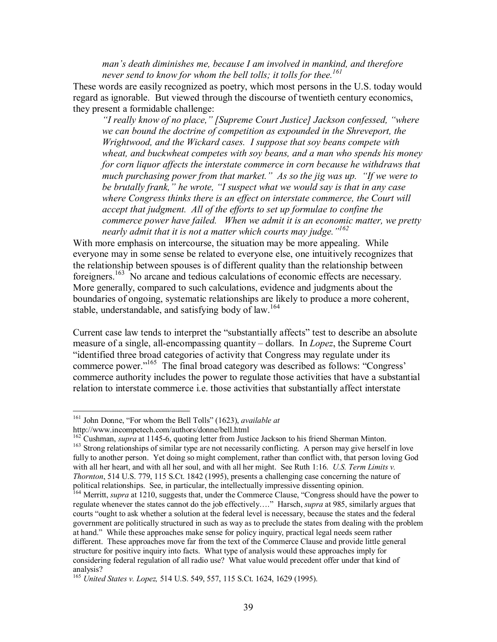*man's death diminishes me, because I am involved in mankind, and therefore never send to know for whom the bell tolls; it tolls for thee.*<sup>161</sup>

These words are easily recognized as poetry, which most persons in the U.S. today would regard as ignorable. But viewed through the discourse of twentieth century economics, they present a formidable challenge:

*"I really know of no place," [Supreme Court Justice] Jackson confessed, "where we can bound the doctrine of competition as expounded in the Shreveport, the Wrightwood, and the Wickard cases. I suppose that soy beans compete with wheat, and buckwheat competes with soy beans, and a man who spends his money for corn liquor affects the interstate commerce in corn because he withdraws that much purchasing power from that market." As so the jig was up. "If we were to be brutally frank," he wrote, "I suspect what we would say is that in any case where Congress thinks there is an effect on interstate commerce, the Court will accept that judgment. All of the efforts to set up formulae to confine the commerce power have failed. When we admit it is an economic matter, we pretty nearly admit that it is not a matter which courts may judge."162*

With more emphasis on intercourse, the situation may be more appealing. While everyone may in some sense be related to everyone else, one intuitively recognizes that the relationship between spouses is of different quality than the relationship between foreigners.<sup>163</sup> No arcane and tedious calculations of economic effects are necessary. More generally, compared to such calculations, evidence and judgments about the boundaries of ongoing, systematic relationships are likely to produce a more coherent, stable, understandable, and satisfying body of law.<sup>164</sup>

Current case law tends to interpret the "substantially affects" test to describe an absolute measure of a single, all-encompassing quantity – dollars. In *Lopez*, the Supreme Court "identified three broad categories of activity that Congress may regulate under its commerce power."165 The final broad category was described as follows: "Congress' commerce authority includes the power to regulate those activities that have a substantial relation to interstate commerce i.e. those activities that substantially affect interstate

<u>.</u>

<sup>161</sup> John Donne, "For whom the Bell Tolls" (1623), *available at*

http://www.incompetech.com/authors/donne/bell.html<br><sup>162</sup> Cushman, *supra* at 1145-6, quoting letter from Justice Jackson to his friend Sherman Minton. <sup>163</sup> Strong relationships of similar type are not necessarily conflicting. A person may give herself in love fully to another person. Yet doing so might complement, rather than conflict with, that person loving God with all her heart, and with all her soul, and with all her might. See Ruth 1:16. *U.S. Term Limits v. Thornton*, 514 U.S. 779, 115 S.Ct. 1842 (1995), presents a challenging case concerning the nature of political relationships. See, in particular, the intellectually impressive dissenting opinion.

<sup>&</sup>lt;sup>164</sup> Merritt, *supra* at 1210, suggests that, under the Commerce Clause, "Congress should have the power to regulate whenever the states cannot do the job effectively…." Harsch, *supra* at 985, similarly argues that courts "ought to ask whether a solution at the federal level is necessary, because the states and the federal government are politically structured in such as way as to preclude the states from dealing with the problem at hand." While these approaches make sense for policy inquiry, practical legal needs seem rather different. These approaches move far from the text of the Commerce Clause and provide little general structure for positive inquiry into facts. What type of analysis would these approaches imply for considering federal regulation of all radio use? What value would precedent offer under that kind of analysis?

<sup>165</sup> *United States v. Lopez,* 514 U.S. 549, 557, 115 S.Ct. 1624, 1629 (1995).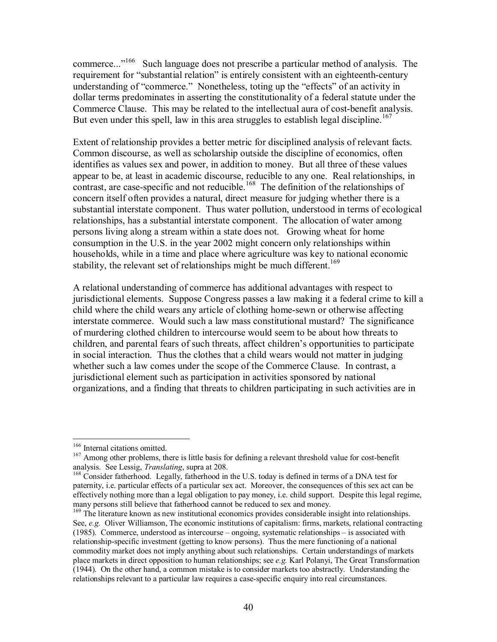commerce..."166 Such language does not prescribe a particular method of analysis. The requirement for "substantial relation" is entirely consistent with an eighteenth-century understanding of "commerce." Nonetheless, toting up the "effects" of an activity in dollar terms predominates in asserting the constitutionality of a federal statute under the Commerce Clause. This may be related to the intellectual aura of cost-benefit analysis. But even under this spell, law in this area struggles to establish legal discipline.<sup>167</sup>

Extent of relationship provides a better metric for disciplined analysis of relevant facts. Common discourse, as well as scholarship outside the discipline of economics, often identifies as values sex and power, in addition to money. But all three of these values appear to be, at least in academic discourse, reducible to any one. Real relationships, in contrast, are case-specific and not reducible.<sup>168</sup> The definition of the relationships of concern itself often provides a natural, direct measure for judging whether there is a substantial interstate component. Thus water pollution, understood in terms of ecological relationships, has a substantial interstate component. The allocation of water among persons living along a stream within a state does not. Growing wheat for home consumption in the U.S. in the year 2002 might concern only relationships within households, while in a time and place where agriculture was key to national economic stability, the relevant set of relationships might be much different.<sup>169</sup>

A relational understanding of commerce has additional advantages with respect to jurisdictional elements. Suppose Congress passes a law making it a federal crime to kill a child where the child wears any article of clothing home-sewn or otherwise affecting interstate commerce. Would such a law mass constitutional mustard? The significance of murdering clothed children to intercourse would seem to be about how threats to children, and parental fears of such threats, affect children's opportunities to participate in social interaction. Thus the clothes that a child wears would not matter in judging whether such a law comes under the scope of the Commerce Clause. In contrast, a jurisdictional element such as participation in activities sponsored by national organizations, and a finding that threats to children participating in such activities are in

<sup>&</sup>lt;sup>166</sup> Internal citations omitted.

 $167$  Among other problems, there is little basis for defining a relevant threshold value for cost-benefit analysis. See Lessig, *Translating*, supra at 208.

<sup>&</sup>lt;sup>168</sup> Consider fatherhood. Legally, fatherhood in the U.S. today is defined in terms of a DNA test for paternity, i.e. particular effects of a particular sex act. Moreover, the consequences of this sex act can be effectively nothing more than a legal obligation to pay money, i.e. child support. Despite this legal regime, many persons still believe that fatherhood cannot be reduced to sex and money.

<sup>&</sup>lt;sup>169</sup> The literature known as new institutional economics provides considerable insight into relationships. See, *e.g.* Oliver Williamson, The economic institutions of capitalism: firms, markets, relational contracting (1985). Commerce, understood as intercourse – ongoing, systematic relationships – is associated with relationship-specific investment (getting to know persons). Thus the mere functioning of a national commodity market does not imply anything about such relationships. Certain understandings of markets place markets in direct opposition to human relationships; see *e.g.* Karl Polanyi, The Great Transformation (1944). On the other hand, a common mistake is to consider markets too abstractly. Understanding the relationships relevant to a particular law requires a case-specific enquiry into real circumstances.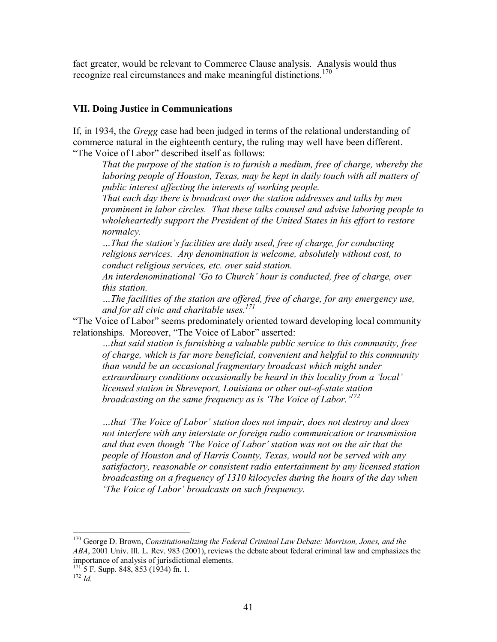fact greater, would be relevant to Commerce Clause analysis. Analysis would thus recognize real circumstances and make meaningful distinctions.<sup>170</sup>

## **VII. Doing Justice in Communications**

If, in 1934, the *Gregg* case had been judged in terms of the relational understanding of commerce natural in the eighteenth century, the ruling may well have been different. "The Voice of Labor" described itself as follows:

*That the purpose of the station is to furnish a medium, free of charge, whereby the laboring people of Houston, Texas, may be kept in daily touch with all matters of public interest affecting the interests of working people.* 

*That each day there is broadcast over the station addresses and talks by men prominent in labor circles. That these talks counsel and advise laboring people to wholeheartedly support the President of the United States in his effort to restore normalcy.* 

*…That the station's facilities are daily used, free of charge, for conducting religious services. Any denomination is welcome, absolutely without cost, to conduct religious services, etc. over said station.* 

*An interdenominational 'Go to Church' hour is conducted, free of charge, over this station.* 

*…The facilities of the station are offered, free of charge, for any emergency use, and for all civic and charitable uses.171* 

"The Voice of Labor" seems predominately oriented toward developing local community relationships. Moreover, "The Voice of Labor" asserted:

*…that said station is furnishing a valuable public service to this community, free of charge, which is far more beneficial, convenient and helpful to this community than would be an occasional fragmentary broadcast which might under extraordinary conditions occasionally be heard in this locality from a 'local' licensed station in Shreveport, Louisiana or other out-of-state station broadcasting on the same frequency as is 'The Voice of Labor.'172*

*…that 'The Voice of Labor' station does not impair, does not destroy and does not interfere with any interstate or foreign radio communication or transmission and that even though 'The Voice of Labor' station was not on the air that the people of Houston and of Harris County, Texas, would not be served with any satisfactory, reasonable or consistent radio entertainment by any licensed station broadcasting on a frequency of 1310 kilocycles during the hours of the day when 'The Voice of Labor' broadcasts on such frequency.* 

 $\overline{a}$ 170 George D. Brown, *Constitutionalizing the Federal Criminal Law Debate: Morrison, Jones, and the ABA*, 2001 Univ. Ill. L. Rev. 983 (2001), reviews the debate about federal criminal law and emphasizes the importance of analysis of jurisdictional elements.

<sup>171 5</sup> F. Supp. 848, 853 (1934) fn. 1. 172 *Id.*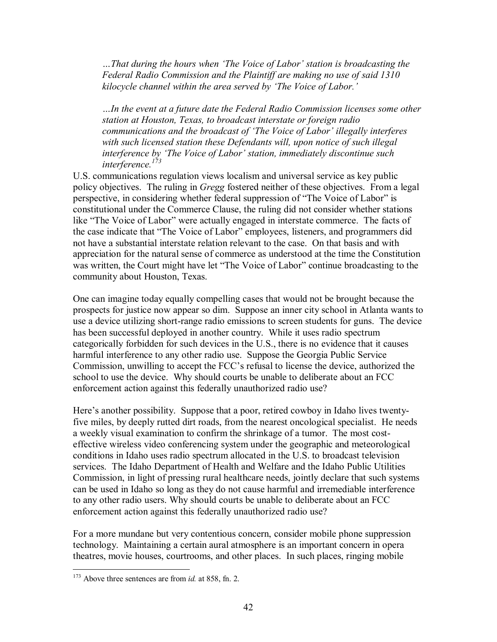*…That during the hours when 'The Voice of Labor' station is broadcasting the Federal Radio Commission and the Plaintiff are making no use of said 1310 kilocycle channel within the area served by 'The Voice of Labor.'* 

*…In the event at a future date the Federal Radio Commission licenses some other station at Houston, Texas, to broadcast interstate or foreign radio communications and the broadcast of 'The Voice of Labor' illegally interferes with such licensed station these Defendants will, upon notice of such illegal interference by 'The Voice of Labor' station, immediately discontinue such interference.<sup>173</sup>*

U.S. communications regulation views localism and universal service as key public policy objectives. The ruling in *Gregg* fostered neither of these objectives. From a legal perspective, in considering whether federal suppression of "The Voice of Labor" is constitutional under the Commerce Clause, the ruling did not consider whether stations like "The Voice of Labor" were actually engaged in interstate commerce. The facts of the case indicate that "The Voice of Labor" employees, listeners, and programmers did not have a substantial interstate relation relevant to the case. On that basis and with appreciation for the natural sense of commerce as understood at the time the Constitution was written, the Court might have let "The Voice of Labor" continue broadcasting to the community about Houston, Texas.

One can imagine today equally compelling cases that would not be brought because the prospects for justice now appear so dim. Suppose an inner city school in Atlanta wants to use a device utilizing short-range radio emissions to screen students for guns. The device has been successful deployed in another country. While it uses radio spectrum categorically forbidden for such devices in the U.S., there is no evidence that it causes harmful interference to any other radio use. Suppose the Georgia Public Service Commission, unwilling to accept the FCC's refusal to license the device, authorized the school to use the device. Why should courts be unable to deliberate about an FCC enforcement action against this federally unauthorized radio use?

Here's another possibility. Suppose that a poor, retired cowboy in Idaho lives twentyfive miles, by deeply rutted dirt roads, from the nearest oncological specialist. He needs a weekly visual examination to confirm the shrinkage of a tumor. The most costeffective wireless video conferencing system under the geographic and meteorological conditions in Idaho uses radio spectrum allocated in the U.S. to broadcast television services. The Idaho Department of Health and Welfare and the Idaho Public Utilities Commission, in light of pressing rural healthcare needs, jointly declare that such systems can be used in Idaho so long as they do not cause harmful and irremediable interference to any other radio users. Why should courts be unable to deliberate about an FCC enforcement action against this federally unauthorized radio use?

For a more mundane but very contentious concern, consider mobile phone suppression technology. Maintaining a certain aural atmosphere is an important concern in opera theatres, movie houses, courtrooms, and other places. In such places, ringing mobile

1

<sup>173</sup> Above three sentences are from *id.* at 858, fn. 2.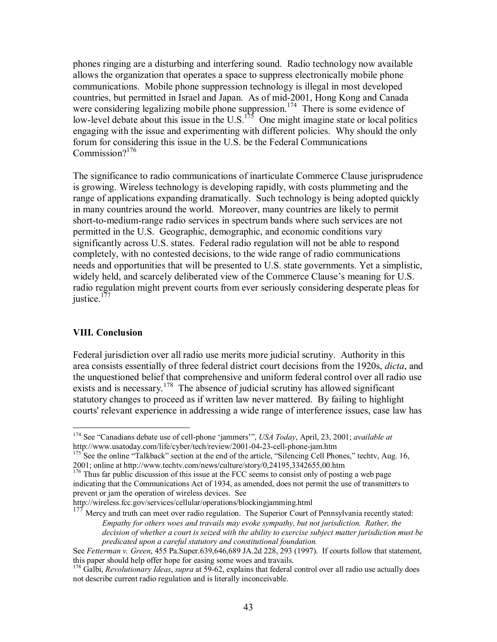phones ringing are a disturbing and interfering sound. Radio technology now available allows the organization that operates a space to suppress electronically mobile phone communications. Mobile phone suppression technology is illegal in most developed countries, but permitted in Israel and Japan. As of mid-2001, Hong Kong and Canada were considering legalizing mobile phone suppression.<sup>174</sup> There is some evidence of low-level debate about this issue in the U.S.<sup>175</sup> One might imagine state or local politics engaging with the issue and experimenting with different policies. Why should the only forum for considering this issue in the U.S. be the Federal Communications Commission?<sup>176</sup>

The significance to radio communications of inarticulate Commerce Clause jurisprudence is growing. Wireless technology is developing rapidly, with costs plummeting and the range of applications expanding dramatically. Such technology is being adopted quickly in many countries around the world. Moreover, many countries are likely to permit short-to-medium-range radio services in spectrum bands where such services are not permitted in the U.S. Geographic, demographic, and economic conditions vary significantly across U.S. states. Federal radio regulation will not be able to respond completely, with no contested decisions, to the wide range of radio communications needs and opportunities that will be presented to U.S. state governments. Yet a simplistic, widely held, and scarcely deliberated view of the Commerce Clause's meaning for U.S. radio regulation might prevent courts from ever seriously considering desperate pleas for justice.<sup>177</sup>

# **VIII. Conclusion**

 $\overline{a}$ 

Federal jurisdiction over all radio use merits more judicial scrutiny. Authority in this area consists essentially of three federal district court decisions from the 1920s, *dicta*, and the unquestioned belief that comprehensive and uniform federal control over all radio use exists and is necessary.<sup>178</sup> The absence of judicial scrutiny has allowed significant statutory changes to proceed as if written law never mattered. By failing to highlight courts' relevant experience in addressing a wide range of interference issues, case law has

http://wireless.fcc.gov/services/cellular/operations/blockingjamming.html

<sup>174</sup> See "Canadians debate use of cell-phone 'jammers'", *USA Today*, April, 23, 2001; *available at*  http://www.usatoday.com/life/cyber/tech/review/2001-04-23-cell-phone-jam.htm<br><sup>175</sup> See the online "Talkback" section at the end of the article, "Silencing Cell Phones," techtv, Aug. 16,

<sup>2001;</sup> online at http://www.techtv.com/news/culture/story/0,24195,3342655,00.htm

<sup>&</sup>lt;sup>176</sup> Thus far public discussion of this issue at the FCC seems to consist only of posting a web page indicating that the Communications Act of 1934, as amended, does not permit the use of transmitters to prevent or jam the operation of wireless devices. See

Mercy and truth can meet over radio regulation. The Superior Court of Pennsylvania recently stated: *Empathy for others woes and travails may evoke sympathy, but not jurisdiction. Rather, the decision of whether a court is seized with the ability to exercise subject matter jurisdiction must be predicated upon a careful statutory and constitutional foundation.* 

See *Fetterman v. Green*, 455 Pa.Super.639,646,689 JA.2d 228, 293 (1997). If courts follow that statement, this paper should help offer hope for easing some woes and travails.

<sup>&</sup>lt;sup>178</sup> Galbi, *Revolutionary Ideas*, *supra* at 59-62, explains that federal control over all radio use actually does not describe current radio regulation and is literally inconceivable.